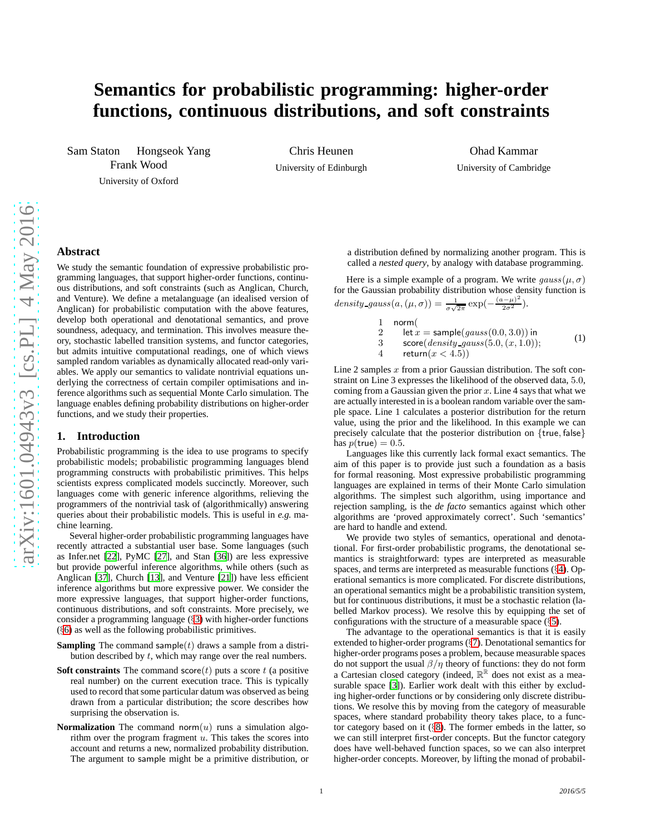# **Semantics for probabilistic programming: higher-order functions, continuous distributions, and soft constraints**

Sam Staton Hongseok Yang Frank Wood University of Oxford

Chris Heunen University of Edinburgh

Ohad Kammar University of Cambridge

# **Abstract**

We study the semantic foundation of expressive probabilistic programming languages, that support higher-order functions, continuous distributions, and soft constraints (such as Anglican, Church, and Venture). We define a metalanguage (an idealised version of Anglican) for probabilistic computation with the above features, develop both operational and denotational semantics, and prove soundness, adequacy, and termination. This involves measure theory, stochastic labelled transition systems, and functor categories, but admits intuitive computational readings, one of which views sampled random variables as dynamically allocated read-only variables. We apply our semantics to validate nontrivial equations underlying the correctness of certain compiler optimisations and inference algorithms such as sequential Monte Carlo simulation. The language enables defining probability distributions on higher-order functions, and we study their properties.

# **1. Introduction**

Probabilistic programming is the idea to use programs to specify probabilistic models; probabilistic programming languages blend programming constructs with probabilistic primitives. This helps scientists express complicated models succinctly. Moreover, such languages come with generic inference algorithms, relieving the programmers of the nontrivial task of (algorithmically) answering queries about their probabilistic models. This is useful in *e.g.* machine learning.

Several higher-order probabilistic programming languages have recently attracted a substantial user base. Some languages (such as Infer.net [\[22\]](#page-9-0), PyMC [\[27](#page-9-1)], and Stan [\[36\]](#page-9-2)) are less expressive but provide powerful inference algorithms, while others (such as Anglican [\[37\]](#page-9-3), Church [\[13](#page-9-4)], and Venture [\[21\]](#page-9-5)) have less efficient inference algorithms but more expressive power. We consider the more expressive languages, that support higher-order functions, continuous distributions, and soft constraints. More precisely, we consider a programming language (§[3\)](#page-1-0) with higher-order functions (§[6\)](#page-6-0) as well as the following probabilistic primitives.

- **Sampling** The command sample( $t$ ) draws a sample from a distribution described by  $t$ , which may range over the real numbers.
- **Soft constraints** The command score $(t)$  puts a score  $t$  (a positive real number) on the current execution trace. This is typically used to record that some particular datum was observed as being drawn from a particular distribution; the score describes how surprising the observation is.
- **Normalization** The command norm $(u)$  runs a simulation algorithm over the program fragment  $u$ . This takes the scores into account and returns a new, normalized probability distribution. The argument to sample might be a primitive distribution, or

a distribution defined by normalizing another program. This is called a *nested query*, by analogy with database programming.

Here is a simple example of a program. We write  $gauss(\mu, \sigma)$ for the Gaussian probability distribution whose density function is density\_gauss $(a, (\mu, \sigma)) = \frac{1}{\sigma \sqrt{2\pi}} \exp(-\frac{(a-\mu)^2}{2\sigma^2})$ .

<span id="page-0-0"></span>1 norm(  
\n2 let 
$$
x = \text{sample}(gauss(0.0, 3.0))
$$
 in  
\n3 score(*density-gauss*(5.0,  $(x, 1.0)$ ); (1)  
\n4 return $(x < 4.5)$ )

Line 2 samples  $x$  from a prior Gaussian distribution. The soft constraint on Line 3 expresses the likelihood of the observed data, 5.0, coming from a Gaussian given the prior  $x$ . Line 4 says that what we are actually interested in is a boolean random variable over the sample space. Line 1 calculates a posterior distribution for the return value, using the prior and the likelihood. In this example we can precisely calculate that the posterior distribution on {true, false} has  $p(\text{true}) = 0.5$ .

Languages like this currently lack formal exact semantics. The aim of this paper is to provide just such a foundation as a basis for formal reasoning. Most expressive probabilistic programming languages are explained in terms of their Monte Carlo simulation algorithms. The simplest such algorithm, using importance and rejection sampling, is the *de facto* semantics against which other algorithms are 'proved approximately correct'. Such 'semantics' are hard to handle and extend.

We provide two styles of semantics, operational and denotational. For first-order probabilistic programs, the denotational semantics is straightforward: types are interpreted as measurable spaces, and terms are interpreted as measurable functions (§[4\)](#page-2-0). Operational semantics is more complicated. For discrete distributions, an operational semantics might be a probabilistic transition system, but for continuous distributions, it must be a stochastic relation (labelled Markov process). We resolve this by equipping the set of configurations with the structure of a measurable space  $(\S 5)$  $(\S 5)$ .

The advantage to the operational semantics is that it is easily extended to higher-order programs (§[7\)](#page-6-1). Denotational semantics for higher-order programs poses a problem, because measurable spaces do not support the usual  $\beta/\eta$  theory of functions: they do not form a Cartesian closed category (indeed,  $\mathbb{R}^{\mathbb{R}}$  does not exist as a measurable space [\[3\]](#page-9-6)). Earlier work dealt with this either by excluding higher-order functions or by considering only discrete distributions. We resolve this by moving from the category of measurable spaces, where standard probability theory takes place, to a functor category based on it (§[8\)](#page-7-0). The former embeds in the latter, so we can still interpret first-order concepts. But the functor category does have well-behaved function spaces, so we can also interpret higher-order concepts. Moreover, by lifting the monad of probabil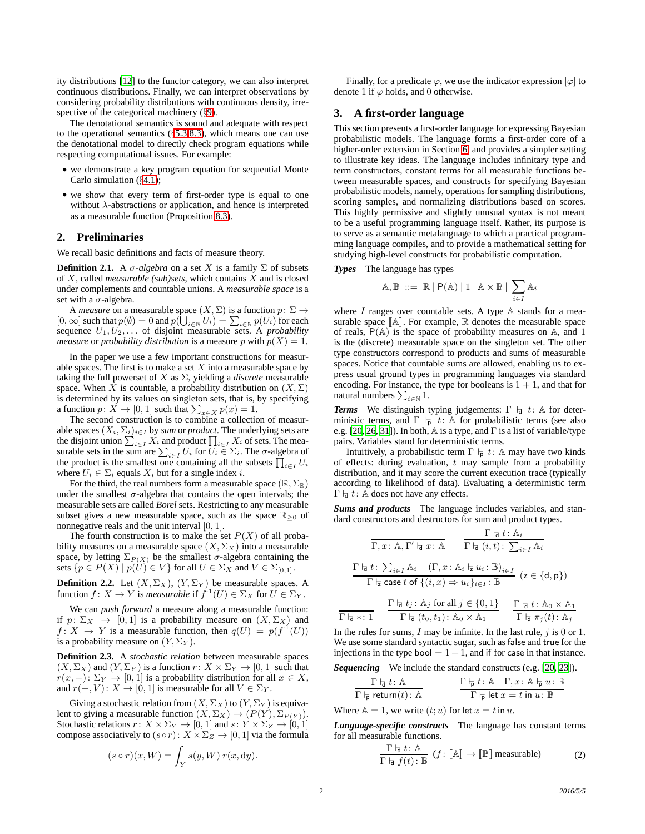ity distributions [\[12](#page-9-7)] to the functor category, we can also interpret continuous distributions. Finally, we can interpret observations by considering probability distributions with continuous density, irre-spective of the categorical machinery (§[9\)](#page-8-0).

The denotational semantics is sound and adequate with respect to the operational semantics  $(\S5.3, 8.3)$  $(\S5.3, 8.3)$  $(\S5.3, 8.3)$  $(\S5.3, 8.3)$ , which means one can use the denotational model to directly check program equations while respecting computational issues. For example:

- we demonstrate a key program equation for sequential Monte Carlo simulation (§[4.1\)](#page-3-1);
- we show that every term of first-order type is equal to one without  $\lambda$ -abstractions or application, and hence is interpreted as a measurable function (Proposition [8.3\)](#page-8-2).

# **2. Preliminaries**

We recall basic definitions and facts of measure theory.

**Definition 2.1.** A  $\sigma$ -algebra on a set X is a family  $\Sigma$  of subsets of  $X$ , called *measurable (sub)sets*, which contains  $\overline{X}$  and is closed under complements and countable unions. A *measurable space* is a set with a  $\sigma$ -algebra.

A *measure* on a measurable space  $(X, \Sigma)$  is a function  $p: \Sigma \rightarrow$  $[0, \infty]$  such that  $p(\emptyset) = 0$  and  $p(\bigcup_{i \in \mathbb{N}} U_i) = \sum_{i \in \mathbb{N}} p(U_i)$  for each sequence  $U_1, U_2, \ldots$  of disjoint measurable sets. A *probability measure* or *probability distribution* is a measure p with  $p(X) = 1$ .

In the paper we use a few important constructions for measurable spaces. The first is to make a set  $X$  into a measurable space by taking the full powerset of  $X$  as  $\Sigma$ , yielding a *discrete* measurable space. When X is countable, a probability distribution on  $(X, \Sigma)$ is determined by its values on singleton sets, that is, by specifying a function  $p: X \to [0, 1]$  such that  $\sum_{x \in X} p(x) = 1$ .<br>The second construction is to combine a collection of measur-

able spaces  $(X_i, \Sigma_i)_{i \in I}$  by *sum* or *product*. The underlying sets are the disjoint union  $\sum_{i\in I} X_i$  and product  $\prod_{i\in I} X_i$  of sets. The measurable sets in the sum are  $\sum_{i \in I} U_i$  for  $U_i \in \Sigma_i$ . The  $\sigma$ -algebra of the product is the smallest one containing all the subsets  $\prod_{i \in I} U_i$ where  $U_i \in \Sigma_i$  equals  $X_i$  but for a single index i.

For the third, the real numbers form a measurable space  $(\mathbb{R}, \Sigma_{\mathbb{R}})$ under the smallest  $\sigma$ -algebra that contains the open intervals; the measurable sets are called *Borel* sets. Restricting to any measurable subset gives a new measurable space, such as the space  $\mathbb{R}_{\geq 0}$  of nonnegative reals and the unit interval [0, 1].

The fourth construction is to make the set  $P(X)$  of all probability measures on a measurable space  $(X, \Sigma_X)$  into a measurable space, by letting  $\Sigma_{P(X)}$  be the smallest  $\sigma$ -algebra containing the sets  $\{p \in P(X) \mid p(U) \in V\}$  for all  $U \in \Sigma_X$  and  $V \in \Sigma_{[0,1]}$ .

**Definition 2.2.** Let  $(X, \Sigma_X)$ ,  $(Y, \Sigma_Y)$  be measurable spaces. A function  $f: X \to Y$  is *measurable* if  $f^{-1}(U) \in \Sigma_X$  for  $U \in \Sigma_Y$ .

We can *push forward* a measure along a measurable function: if  $p: \Sigma_X \to [0, 1]$  is a probability measure on  $(X, \Sigma_X)$  and  $f: X \to Y$  is a measurable function, then  $q(U) = p(f^{-1}(U))$ is a probability measure on  $(Y, \Sigma_Y)$ .

<span id="page-1-1"></span>**Definition 2.3.** A *stochastic relation* between measurable spaces  $(X, \Sigma_X)$  and  $(Y, \Sigma_Y)$  is a function  $r: X \times \Sigma_Y \rightarrow [0, 1]$  such that  $r(x,-): \Sigma_Y \to [0,1]$  is a probability distribution for all  $x \in X$ , and  $r(-, V)$ :  $X \to [0, 1]$  is measurable for all  $V \in \Sigma_Y$ .

Giving a stochastic relation from  $(X, \Sigma_X)$  to  $(Y, \Sigma_Y)$  is equivalent to giving a measurable function  $(X, \Sigma_X) \to (P(Y), \Sigma_{P(Y)})$ . Stochastic relations  $r: X \times \Sigma_Y \to [0, 1]$  and  $s: Y \times \Sigma_Z \to [0, 1]$ compose associatively to  $(s \circ r): X \times \Sigma_Z \to [0, 1]$  via the formula

$$
(s \circ r)(x, W) = \int_Y s(y, W) r(x, dy).
$$

Finally, for a predicate  $\varphi$ , we use the indicator expression  $[\varphi]$  to denote 1 if  $\varphi$  holds, and 0 otherwise.

### <span id="page-1-0"></span>**3. A first-order language**

This section presents a first-order language for expressing Bayesian probabilistic models. The language forms a first-order core of a higher-order extension in Section [6,](#page-6-0) and provides a simpler setting to illustrate key ideas. The language includes infinitary type and term constructors, constant terms for all measurable functions between measurable spaces, and constructs for specifying Bayesian probabilistic models, namely, operations for sampling distributions, scoring samples, and normalizing distributions based on scores. This highly permissive and slightly unusual syntax is not meant to be a useful programming language itself. Rather, its purpose is to serve as a semantic metalanguage to which a practical programming language compiles, and to provide a mathematical setting for studying high-level constructs for probabilistic computation.

### *Types* The language has types

$$
\mathbb{A}, \mathbb{B} \ ::= \ \mathbb{R} \mid \mathsf{P}(\mathbb{A}) \mid 1 \mid \mathbb{A} \times \mathbb{B} \mid \sum_{i \in I} \mathbb{A}_i
$$

where  $I$  ranges over countable sets. A type  $A$  stands for a measurable space  $\mathbb{A}$ . For example, R denotes the measurable space of reals,  $P(A)$  is the space of probability measures on A, and 1 is the (discrete) measurable space on the singleton set. The other type constructors correspond to products and sums of measurable spaces. Notice that countable sums are allowed, enabling us to express usual ground types in programming languages via standard encoding. For instance, the type for booleans is  $1 + 1$ , and that for natural numbers  $\sum_{i\in\mathbb{N}} 1$ .

**Terms** We distinguish typing judgements:  $\Gamma \vdash d : A$  for deterministic terms, and  $\Gamma \vdash p \ t : \mathbb{A}$  for probabilistic terms (see also e.g. [\[20,](#page-9-8) [26,](#page-9-9) [31\]](#page-9-10)). In both,  $\mathbb A$  is a type, and  $\Gamma$  is a list of variable/type pairs. Variables stand for deterministic terms.

Intuitively, a probabilistic term  $\Gamma \vdash p t: A$  may have two kinds of effects: during evaluation,  $t$  may sample from a probability distribution, and it may score the current execution trace (typically according to likelihood of data). Evaluating a deterministic term  $Γ$   $\frac{1}{q}$  t: A does not have any effects.

*Sums and products* The language includes variables, and standard constructors and destructors for sum and product types.

$$
\frac{\Gamma \vdash_{\mathsf{d}} t : \mathbb{A}_{i}}{\Gamma, x : \mathbb{A}, \Gamma' \vdash_{\mathsf{d}} x : \mathbb{A} \qquad \frac{\Gamma \vdash_{\mathsf{d}} t : \mathbb{A}_{i}}{\Gamma \vdash_{\mathsf{d}} (i, t) : \sum_{i \in I} \mathbb{A}_{i}}
$$
\n
$$
\frac{\Gamma \vdash_{\mathsf{d}} t : \sum_{i \in I} \mathbb{A}_{i} \quad (\Gamma, x : \mathbb{A}_{i} \vdash_{\mathsf{d}} u : \mathbb{B})_{i \in I}}{\Gamma \vdash_{\mathsf{z}} \text{ case } t \text{ of } \{(i, x) \Rightarrow u_{i}\}_{i \in I} : \mathbb{B}} \quad (\mathsf{z} \in \{\mathsf{d}, \mathsf{p}\})
$$

$$
\frac{\Gamma \nvert_{\mathsf{d}} t_j : \mathbb{A}_j \text{ for all } j \in \{0, 1\}}{\Gamma \nvert_{\mathsf{d}} (t_0, t_1) : \mathbb{A}_0 \times \mathbb{A}_1} \qquad \frac{\Gamma \nvert_{\mathsf{d}} t : \mathbb{A}_0 \times \mathbb{A}_1}{\Gamma \nvert_{\mathsf{d}} \pi_j(t) : \mathbb{A}_j}
$$

In the rules for sums,  $I$  may be infinite. In the last rule,  $j$  is 0 or 1. We use some standard syntactic sugar, such as false and true for the injections in the type bool  $= 1 + 1$ , and if for case in that instance.

*Sequencing* We include the standard constructs (e.g. [\[20](#page-9-8), [23\]](#page-9-11)).

$$
\frac{\Gamma \not\vdash_d t : \mathbb{A}}{\Gamma \not\vdash_p \mathsf{return}(t) : \mathbb{A}} \qquad \qquad \frac{\Gamma \not\vdash_p t : \mathbb{A} \quad \Gamma, x : \mathbb{A} \not\vdash_p u : \mathbb{B}}{\Gamma \not\vdash_p \mathsf{let} x = t \mathsf{ in} u : \mathbb{B}}
$$

Where  $\mathbb{A} = 1$ , we write  $(t; u)$  for let  $x = t$  in u.

*Language-specific constructs* The language has constant terms for all measurable functions.

<span id="page-1-2"></span>
$$
\frac{\Gamma \vdash_{\mathsf{d}} t : \mathbb{A}}{\Gamma \vdash_{\mathsf{d}} f(t) : \mathbb{B}} \ (f : [\![\mathbb{A}]\!] \to [\![\mathbb{B}]\!] \ \text{measurable}) \tag{2}
$$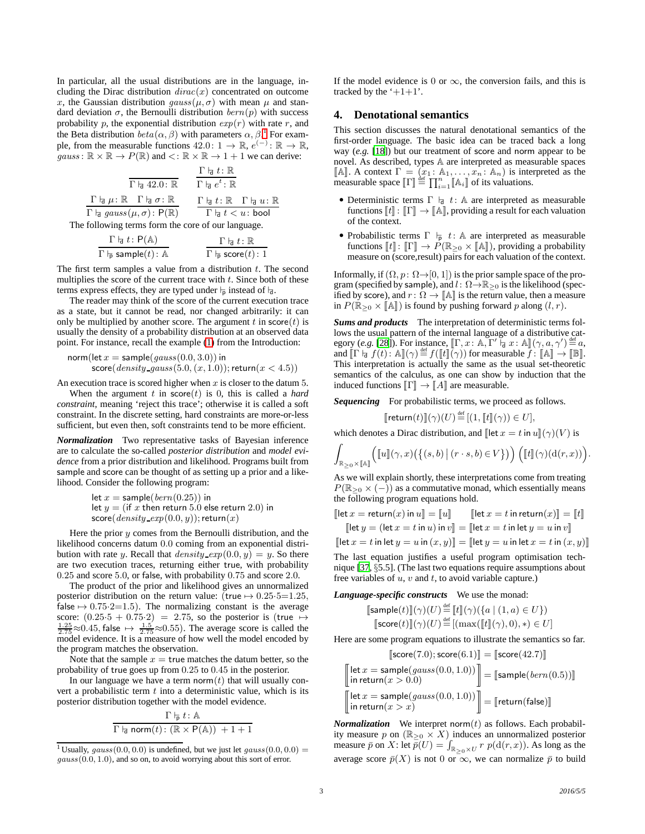In particular, all the usual distributions are in the language, including the Dirac distribution  $dirac(x)$  concentrated on outcome x, the Gaussian distribution  $gauss(\mu, \sigma)$  with mean  $\mu$  and standard deviation  $\sigma$ , the Bernoulli distribution  $bern(p)$  with success probability p, the exponential distribution  $exp(r)$  with rate r, and the Beta distribution  $beta(\alpha, \beta)$  with parameters  $\alpha, \beta$ <sup>[1](#page-2-1)</sup> For example, from the measurable functions  $42.0: 1 \rightarrow \mathbb{R}, e^{(-)}: \mathbb{R} \rightarrow \mathbb{R}$ ,  $gauss: \mathbb{R} \times \mathbb{R} \to P(\mathbb{R})$  and  $\lt: \mathbb{R} \times \mathbb{R} \to 1 + 1$  we can derive:

$$
\frac{\Gamma \nmid_{\overline{d}} t : \mathbb{R}}{\Gamma \nmid_{\overline{d}} a 42.0 : \mathbb{R}} \qquad \frac{\Gamma \nmid_{\overline{d}} t : \mathbb{R}}{\Gamma \nmid_{\overline{d}} e^t : \mathbb{R}}
$$
\n
$$
\frac{\Gamma \nmid_{\overline{d}} \mu : \mathbb{R} \quad \Gamma \nmid_{\overline{d}} \sigma : \mathbb{R}}{\Gamma \nmid_{\overline{d}} gauss(\mu, \sigma) : P(\mathbb{R})} \qquad \frac{\Gamma \nmid_{\overline{d}} t : \mathbb{R} \quad \Gamma \nmid_{\overline{d}} u : \mathbb{R}}{\Gamma \nmid_{\overline{d}} t < u : \text{bool}}
$$
\nthe following terms from the same of our language.

The following terms form the core of our language.

$$
\frac{\Gamma \vdash_{\mathsf{d}} t : \mathsf{P}(\mathbb{A})}{\Gamma \vdash_{\mathsf{P}} \mathsf{sample}(t) : \mathbb{A}} \qquad \qquad \frac{\Gamma \vdash_{\mathsf{d}} t : \mathbb{R}}{\Gamma \vdash_{\mathsf{P}} \mathsf{score}(t) : 1}
$$

The first term samples a value from a distribution  $t$ . The second multiplies the score of the current trace with  $t$ . Since both of these terms express effects, they are typed under  $\vdash_{\overline{p}}$  instead of  $\vdash_{d}$ .

The reader may think of the score of the current execution trace as a state, but it cannot be read, nor changed arbitrarily: it can only be multiplied by another score. The argument t in score  $(t)$  is usually the density of a probability distribution at an observed data point. For instance, recall the example [\(1\)](#page-0-0) from the Introduction:

$$
norm(left x = sample(gauss(0.0, 3.0)) inscore(density-gauss(5.0, (x, 1.0)); return(x < 4.5))
$$

An execution trace is scored higher when  $x$  is closer to the datum 5.

When the argument  $t$  in  $score(t)$  is 0, this is called a *hard* constraint, meaning 'reject this trace'; otherwise it is called a soft constraint. In the discrete setting, hard constraints are more-or-less sufficient, but even then, soft constraints tend to be more efficient.

*Normalization* Two representative tasks of Bayesian inference are to calculate the so-called *posterior distribution* and *model evidence* from a prior distribution and likelihood. Programs built from sample and score can be thought of as setting up a prior and a likelihood. Consider the following program:

let 
$$
x = \text{sample}(bern(0.25))
$$
 in  
let  $y =$  (if x then return 5.0 else return 2.0) in  
score(*density-exp*(0.0, y)); return(x)

Here the prior  $y$  comes from the Bernoulli distribution, and the likelihood concerns datum 0.0 coming from an exponential distribution with rate y. Recall that *density\_exp*(0.0, y) = y. So there are two execution traces, returning either true, with probability 0.25 and score 5.0, or false, with probability 0.75 and score 2.0.

The product of the prior and likelihood gives an unnormalized posterior distribution on the return value: (true  $\mapsto 0.25 \cdot 5=1.25$ , false  $\mapsto$  0.75·2=1.5). The normalizing constant is the average score:  $(0.25 \cdot 5 + 0.75 \cdot 2) = 2.75$ , so the posterior is (true  $\mapsto \frac{1.25}{2.75} \approx 0.45$ , false  $\mapsto \frac{1.5}{2.75} \approx 0.55$ ). The average score is called the model evidence. It is a measure of how well the model encoded by the program matches the observation.

Note that the sample  $x =$  true matches the datum better, so the probability of true goes up from 0.25 to 0.45 in the posterior.

In our language we have a term norm $(t)$  that will usually convert a probabilistic term  $t$  into a deterministic value, which is its posterior distribution together with the model evidence.

$$
\frac{\Gamma \vdash_{\bar{p}} t : \mathbb{A}}{\Gamma \vdash_{\bar{q}} \text{norm}(t) : (\mathbb{R} \times \mathsf{P}(\mathbb{A})) + 1 + 1}
$$

If the model evidence is 0 or  $\infty$ , the conversion fails, and this is tracked by the  $+1+1$ .

# <span id="page-2-0"></span>**4. Denotational semantics**

This section discusses the natural denotational semantics of the first-order language. The basic idea can be traced back a long way (*e.g.* [\[18](#page-9-12)]) but our treatment of score and norm appear to be novel. As described, types A are interpreted as measurable spaces [A]. A context  $\Gamma = (x_1 : \mathbb{A}_1, \dots, x_n : \mathbb{A}_n)$  is interpreted as the measurable space  $[\![\Gamma]\!] \stackrel{\text{def}}{=} \prod_{i=1}^n [\![A_i]\!]$  of its valuations.

- Deterministic terms  $\Gamma \vdash d : A$  are interpreted as measurable functions  $\llbracket t \rrbracket$ :  $\llbracket \Gamma \rrbracket \rightarrow \llbracket \mathbb{A} \rrbracket$ , providing a result for each valuation of the context.
- Probabilistic terms  $\Gamma \vdash_{\mathsf{p}} t: \mathbb{A}$  are interpreted as measurable functions  $\llbracket t \rrbracket$ :  $\llbracket \Gamma \rrbracket \rightarrow P(\mathbb{R}_{\geq 0} \times \llbracket \mathbb{A} \rrbracket)$ , providing a probability measure on (score,result) pairs for each valuation of the context.

Informally, if  $(\Omega, p : \Omega \rightarrow [0, 1])$  is the prior sample space of the program (specified by sample), and  $l: \Omega \rightarrow \mathbb{R}_{\geq 0}$  is the likelihood (specified by score), and  $r: \Omega \to \mathbb{A}$  is the return value, then a measure in  $P(\mathbb{R}_{\geq 0} \times [\![A]\!])$  is found by pushing forward p along  $(l, r)$ .

*Sums and products* The interpretation of deterministic terms follows the usual pattern of the internal language of a distributive category (*e.g.* [\[28](#page-9-13)]). For instance,  $[\Gamma, x : \mathbb{A}, \Gamma' \vdash a : \mathbb{A}](\gamma, a, \gamma') \stackrel{\text{def}}{=} a$ ,<br>and  $[\Gamma] \uparrow f(A), \mathbb{A}](\gamma)$  def  $f(\mathbb{A} \mathbb{I})(\gamma)$  for measurable  $f: [\mathbb{A} \mathbb{I} \setminus \mathbb{I} \mathbb{I}]$ and  $[\![\Gamma \vdash_{\mathbf{d}} f(t) \colon \mathbb{A}]\!] (\gamma) \stackrel{\text{def}}{=} f([\![t]\!] \stackrel{\sim}{\gamma}))$  for measurable  $\overrightarrow{f} : [\![\mathbb{A}]\!] \to [\![\mathbb{B}]\!]$ . This interpretation is actually the same as the usual set-theoretic semantics of the calculus, as one can show by induction that the induced functions  $\|\Gamma\| \to \|A\|$  are measurable.

*Sequencing* For probabilistic terms, we proceed as follows.

$$
\llbracket \mathsf{return}(t) \rrbracket(\gamma)(U) \stackrel{\text{def}}{=} \llbracket (1, \llbracket t \rrbracket(\gamma)) \in U \rrbracket,
$$

which denotes a Dirac distribution, and  $\left[\left|\det x \right| = t \text{ in } u\right](\gamma)(V)$  is

$$
\int_{\mathbb{R}_{\geq 0} \times \mathbb{A}} \left( \llbracket u \rrbracket(\gamma, x) \left( \{(s, b) \mid (r \cdot s, b) \in V \} \right) \right) \left( \llbracket t \rrbracket(\gamma) (d(r, x)) \right)
$$

As we will explain shortly, these interpretations come from treating  $P(\mathbb{R}_{\geq 0} \times (-))$  as a commutative monad, which essentially means the following program equations hold.

$$
\begin{aligned}\n\text{[let } x = \text{return}(x) \text{ in } u\text{]} &= \llbracket u\rrbracket \qquad \text{[let } x = t \text{ in } \text{return}(x)\text{]} = \llbracket t\rrbracket \\
\text{[let } y = (\text{let } x = t \text{ in } u) \text{ in } v\text{]} &= \text{[let } x = t \text{ in } \text{let } y = u \text{ in } v\text{]} \n\end{aligned}
$$

 $\Vert \det x = t \Vert$  in let  $y = u \Vert (x, y) \Vert = \Vert \det y = u \Vert$  in let  $x = t \Vert (x, y) \Vert$ 

The last equation justifies a useful program optimisation technique [\[37,](#page-9-3) §5.5]. (The last two equations require assumptions about free variables of  $u$ ,  $v$  and  $t$ , to avoid variable capture.)

*Language-specific constructs* We use the monad:

$$
\begin{aligned} &\text{[sample}(t)\text{]}(\gamma)(U) \stackrel{\text{def}}{=} \text{[} t\text{]}(\gamma)(\{a \mid (1, a) \in U\}) \\ &\text{[score}(t)\text{]}(\gamma)(U) \stackrel{\text{def}}{=} [\text{(max}(\text{[} t\text{]}(\gamma), 0), *) \in U] \end{aligned}
$$

Here are some program equations to illustrate the semantics so far.

$$
[\text{score}(7.0); \text{score}(6.1)] = [\text{score}(42.7)]
$$
  
= sample(*gauss*(0, 0, 1, 0))]

$$
\begin{bmatrix}\n\text{let } x = \text{sample}(gauss(0.0, 1.0)) \\
\text{in return}(x > 0.0)\n\end{bmatrix} = [\text{sample}(bern(0.5))]\n\begin{bmatrix}\n\text{let } x = \text{sample}(gauss(0.0, 1.0)) \\
\text{in return}(x > x)\n\end{bmatrix} = [\text{return}(\text{false})]
$$

*Normalization* We interpret norm $(t)$  as follows. Each probability measure p on  $(\mathbb{R}_{\geq 0} \times X)$  induces an unnormalized posterior measure  $\bar{p}$  on X: let  $\bar{p}(U) = \int_{\mathbb{R}_{\geq 0} \times U} r p(\mathrm{d}(r, x))$ . As long as the average score  $\bar{p}(X)$  is not 0 or  $\infty$ , we can normalize  $\bar{p}$  to build

.

<span id="page-2-1"></span><sup>&</sup>lt;sup>1</sup> Usually,  $gauss(0.0, 0.0)$  is undefined, but we just let  $gauss(0.0, 0.0)$  =  $gauss(0.0, 1.0)$ , and so on, to avoid worrying about this sort of error.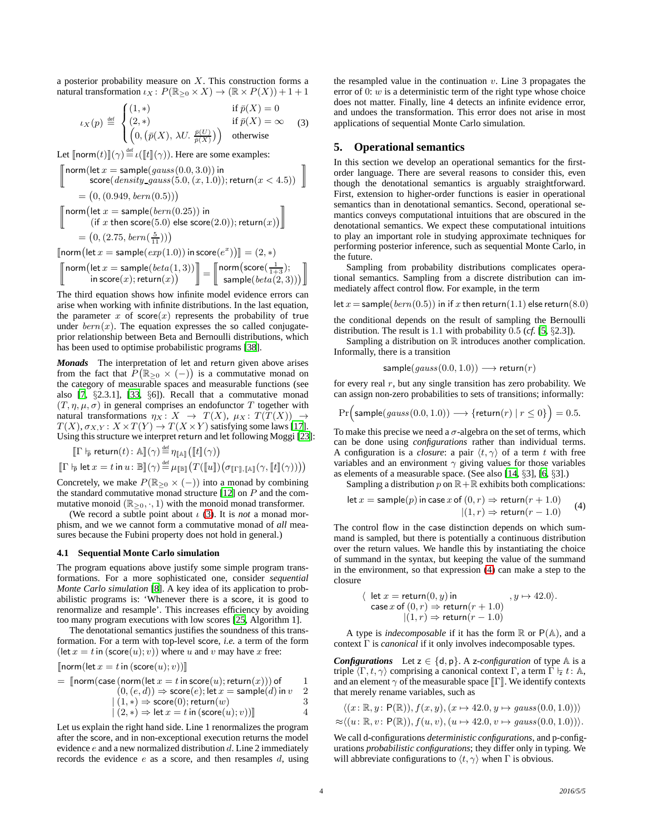a posterior probability measure on  $X$ . This construction forms a natural transformation  $\iota_X : P(\mathbb{R}_{\geq 0} \times X) \to (\mathbb{R} \times P(X)) + 1 + 1$ 

<span id="page-3-2"></span>
$$
\iota_X(p) \stackrel{\text{def}}{=} \begin{cases} (1,*) & \text{if } \bar{p}(X) = 0 \\ (2,*) & \text{if } \bar{p}(X) = \infty \\ \left(0, \left(\bar{p}(X), \lambda U, \frac{\bar{p}(U)}{\bar{p}(X)}\right)\right) & \text{otherwise} \end{cases}
$$
(3)

Let  $[\text{norm}(t)](\gamma) \stackrel{\text{def}}{=} \iota([\![t]\!](\gamma)).$  Here are some examples:

$$
\begin{aligned}\n\left[\begin{array}{c}\n\text{norm}(\text{let } x = \text{sample}(gauss(0.0, 3.0))\text{ in} \\
\text{score}(density-gauss(5.0, (x, 1.0)); \text{return}(x < 4.5))\n\end{array}\right] \\
&= (0, (0.949, \text{bern}(0.5))) \\
\left[\begin{array}{c}\n\text{norm}(\text{let } x = \text{sample}(\text{bern}(0.25))\text{ in} \\
(\text{if } x \text{ then } \text{score}(5.0) \text{ else } \text{score}(2.0)); \text{return}(x)\n\end{array}\right] \\
&= (0, (2.75, \text{bern}(\frac{5}{11}))) \\
\text{Error}(\text{let } x = \text{sample}(\text{com}(1.0))\text{ in } \text{score}(\text{C}^x))\mathbb{I} = (2.3)\n\end{aligned}
$$

$$
\begin{bmatrix} \text{norm}\big(\text{let } x = \text{sample}(\exp(1.0)) \text{ in score}(e^x)\big) \end{bmatrix} = (2, *) \\ \begin{bmatrix} \text{norm}\big(\text{let } x = \text{sample}(\text{beta}(1, 3)) \big) \\ \text{in score}(x); \text{return}(x) \end{bmatrix} = \begin{bmatrix} \text{norm}\big(\text{score}(\frac{1}{1+3}); \\ \text{sample}(\text{beta}(2, 3)) \big) \end{bmatrix}
$$

The third equation shows how infinite model evidence errors can arise when working with infinite distributions. In the last equation, the parameter  $x$  of score $(x)$  represents the probability of true under  $bern(x)$ . The equation expresses the so called conjugateprior relationship between Beta and Bernoulli distributions, which has been used to optimise probabilistic programs [\[38](#page-9-14)].

*Monads* The interpretation of let and return given above arises from the fact that  $\hat{P}(\mathbb{R}_{\geq 0} \times (-))$  is a commutative monad on the category of measurable spaces and measurable functions (see also [\[7](#page-9-15), §2.3.1], [\[33](#page-9-16), §6]). Recall that a commutative monad  $(T, \eta, \mu, \sigma)$  in general comprises an endofunctor T together with natural transformations  $\eta_X: X \to T(X), \mu_X: T(T(X)) \to$  $T(X), \sigma_{X,Y} : X \times T(Y) \to T(X \times Y)$  satisfying some laws [\[17\]](#page-9-17). Using this structure we interpret return and let following Moggi [\[23\]](#page-9-11):

$$
\begin{aligned}\n\left[\Gamma \vdash_{\overline{\mathsf{p}}} \mathsf{return}(t) : \mathbb{A} \right](\gamma) &\stackrel{\text{def}}{=} \eta_{\llbracket \mathbb{A} \rrbracket} \left( \llbracket t \rrbracket(\gamma) \right) \\
\left[\Gamma \vdash_{\overline{\mathsf{p}}} \mathsf{let} \, x = t \mathbin{\mathsf{in}} \, u : \mathbb{B} \rrbracket(\gamma) \stackrel{\text{def}}{=} \mu_{\llbracket \mathbb{B} \rrbracket} \left( T(\llbracket u \rrbracket) \left( \sigma_{\llbracket \Gamma \rrbracket, \llbracket \mathbb{A} \rrbracket}(\gamma, \llbracket t \rrbracket(\gamma)) \right) \right)\n\end{aligned}
$$

Concretely, we make  $P(\mathbb{R}_{\geq 0} \times (-))$  into a monad by combining the standard commutative monad structure  $[12]$  on  $P$  and the commutative monoid ( $\mathbb{R}_{\geq 0}, \cdot, 1$ ) with the monoid monad transformer.

(We record a subtle point about  $\iota$  [\(3\)](#page-3-2). It is *not* a monad morphism, and we we cannot form a commutative monad of *all* measures because the Fubini property does not hold in general.)

#### <span id="page-3-1"></span>**4.1 Sequential Monte Carlo simulation**

The program equations above justify some simple program transformations. For a more sophisticated one, consider *sequential Monte Carlo simulation* [\[8\]](#page-9-18). A key idea of its application to probabilistic programs is: 'Whenever there is a score, it is good to renormalize and resample'. This increases efficiency by avoiding too many program executions with low scores [\[25,](#page-9-19) Algorithm 1].

The denotational semantics justifies the soundness of this transformation. For a term with top-level score, *i.e.* a term of the form  $(\text{let } x = t \text{ in } (\text{score}(u); v))$  where u and v may have x free:

$$
[\n \left[ norm(\text{let } x = t \text{ in } (\text{score}(u); v)) \right]\n]
$$

$$
= \text{ [norm}(\text{case (norm)}(\text{let } x = t \text{ in score}(u); \text{return}(x))) \text{ of } \newline (0, (e, d)) \Rightarrow \text{score}(e); \text{let } x = \text{sample}(d) \text{ in } v \newline 2 \mid (1, *) \Rightarrow \text{score}(0); \text{return}(w) \newline 3 \mid (2, *) \Rightarrow \text{let } x = t \text{ in } (\text{score}(u); v))] \newline 4
$$

Let us explain the right hand side. Line 1 renormalizes the program after the score, and in non-exceptional execution returns the model evidence  $e$  and a new normalized distribution  $d$ . Line 2 immediately records the evidence  $e$  as a score, and then resamples  $d$ , using the resampled value in the continuation  $v$ . Line 3 propagates the error of  $\ddot{\theta}$ : w is a deterministic term of the right type whose choice does not matter. Finally, line 4 detects an infinite evidence error, and undoes the transformation. This error does not arise in most applications of sequential Monte Carlo simulation.

# <span id="page-3-0"></span>**5. Operational semantics**

In this section we develop an operational semantics for the firstorder language. There are several reasons to consider this, even though the denotational semantics is arguably straightforward. First, extension to higher-order functions is easier in operational semantics than in denotational semantics. Second, operational semantics conveys computational intuitions that are obscured in the denotational semantics. We expect these computational intuitions to play an important role in studying approximate techniques for performing posterior inference, such as sequential Monte Carlo, in the future.

Sampling from probability distributions complicates operational semantics. Sampling from a discrete distribution can immediately affect control flow. For example, in the term

let 
$$
x = \text{sample}(bern(0.5))
$$
 in if  $x$  then return(1.1) else return(8.0)

the conditional depends on the result of sampling the Bernoulli distribution. The result is 1.1 with probability 0.5 (*cf.* [\[5](#page-9-20), §2.3]).

Sampling a distribution on  $\mathbb R$  introduces another complication. Informally, there is a transition

$$
sample(gauss(0.0, 1.0)) \longrightarrow return(r)
$$

for every real  $r$ , but any single transition has zero probability. We can assign non-zero probabilities to sets of transitions; informally:

$$
\Pr\Big(\textsf{sample}(gauss(0.0, 1.0)) \longrightarrow \{\textsf{return}(r) \mid r \le 0\}\Big) = 0.5.
$$

To make this precise we need a  $\sigma$ -algebra on the set of terms, which can be done using *configurations* rather than individual terms. A configuration is a *closure*: a pair  $\langle t, \gamma \rangle$  of a term t with free variables and an environment  $\gamma$  giving values for those variables as elements of a measurable space. (See also [\[14](#page-9-21), §3], [\[6,](#page-9-22) §3].)

Sampling a distribution 
$$
p
$$
 on  $\mathbb{R} + \mathbb{R}$  exhibits both complications:

<span id="page-3-3"></span>let 
$$
x = \text{sample}(p)
$$
 in case  $x$  of  $(0, r) \Rightarrow \text{return}(r + 1.0)$   
 $|(1, r) \Rightarrow \text{return}(r - 1.0)$  (4)

The control flow in the case distinction depends on which summand is sampled, but there is potentially a continuous distribution over the return values. We handle this by instantiating the choice of summand in the syntax, but keeping the value of the summand in the environment, so that expression [\(4\)](#page-3-3) can make a step to the closure

$$
\langle \text{ let } x = \text{return}(0, y) \text{ in } , y \mapsto 42.0 \rangle.
$$
  
\n
$$
\text{case } x \text{ of } (0, r) \Rightarrow \text{return}(r + 1.0)
$$
  
\n
$$
|(1, r) \Rightarrow \text{return}(r - 1.0)
$$

A type is *indecomposable* if it has the form  $\mathbb R$  or  $P(\mathbb A)$ , and a context Γ is *canonical* if it only involves indecomposable types.

*Configurations* Let  $z \in \{d, p\}$ . A z-configuration of type  $A$  is a triple  $\langle \Gamma, t, \gamma \rangle$  comprising a canonical context Γ, a term Γ  $\vdash z t : A$ , and an element  $\gamma$  of the measurable space  $\llbracket \Gamma \rrbracket$ . We identify contexts that merely rename variables, such as

$$
\langle (x: \mathbb{R}, y: \mathsf{P}(\mathbb{R})), f(x, y), (x \mapsto 42.0, y \mapsto gauss(0.0, 1.0)) \rangle
$$

$$
\approx \langle (u \colon \mathbb{R}, v \colon \mathsf{P}(\mathbb{R})), f(u, v), (u \mapsto 42.0, v \mapsto \text{gauss}(0.0, 1.0)) \rangle.
$$

We call d-configurations *deterministic configurations*, and p-configurations *probabilistic configurations*; they differ only in typing. We will abbreviate configurations to  $\langle t, \gamma \rangle$  when Γ is obvious.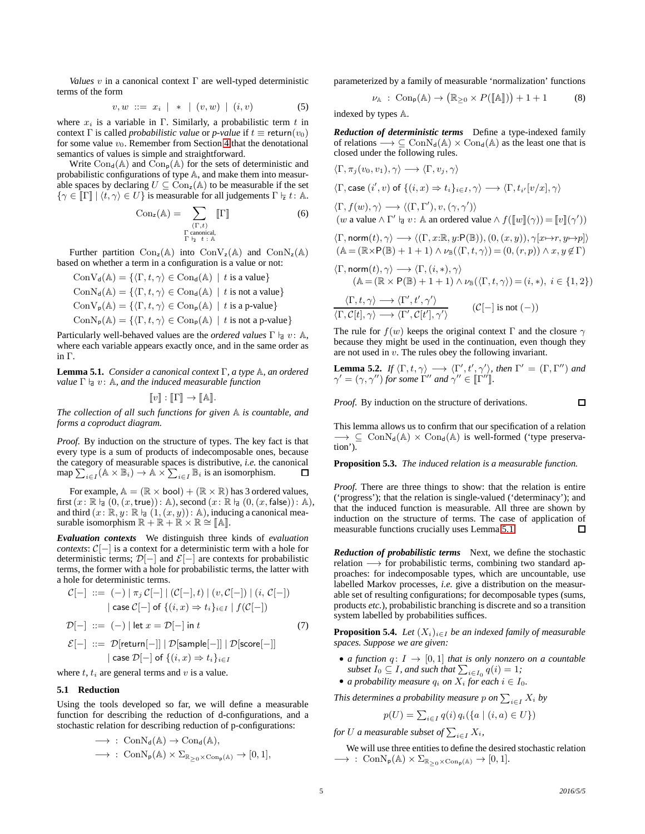*Values* v in a canonical context Γ are well-typed deterministic terms of the form

<span id="page-4-4"></span>
$$
v, w ::= x_i | * | (v, w) | (i, v) \tag{5}
$$

where  $x_i$  is a variable in Γ. Similarly, a probabilistic term t in context  $\Gamma$  is called *probabilistic value* or *p-value* if  $t \equiv \text{return}(v_0)$ for some value  $v_0$ . Remember from Section [4](#page-2-0) that the denotational semantics of values is simple and straightforward.

Write  $Con_{d}(\mathbb{A})$  and  $Con_{p}(\mathbb{A})$  for the sets of deterministic and probabilistic configurations of type A, and make them into measurable spaces by declaring  $U \subseteq \text{Con}_{z}(\mathbb{A})$  to be measurable if the set  $\{\gamma \in \llbracket \Gamma \rrbracket | \langle t, \gamma \rangle \in U\}$  is measurable for all judgements  $\Gamma \models t : \mathbb{A}.$ 

<span id="page-4-6"></span>
$$
Con_z(\mathbb{A}) = \sum_{\substack{(\Gamma,t) \\ \Gamma \text{ canonical,} \\ \Gamma \vdash z \ t \colon \mathbb{A}}} [\![\Gamma]\!]
$$
 (6)

Further partition  $Con_{z}(\mathbb{A})$  into  $Con_{z}(\mathbb{A})$  and  $Con_{z}(\mathbb{A})$ based on whether a term in a configuration is a value or not:

$$
\begin{aligned} &\mathrm{Con}V_d(\mathbb{A})=\{\langle \Gamma, t, \gamma \rangle \in \mathrm{Con}_d(\mathbb{A}) \ | \ t \text{ is a value}\} \\ &\mathrm{Con}N_d(\mathbb{A})=\{\langle \Gamma, t, \gamma \rangle \in \mathrm{Con}_d(\mathbb{A}) \ | \ t \text{ is not a value}\} \\ &\mathrm{Con}V_p(\mathbb{A})=\{\langle \Gamma, t, \gamma \rangle \in \mathrm{Con}_p(\mathbb{A}) \ | \ t \text{ is a p-value}\} \\ &\mathrm{Con}N_p(\mathbb{A})=\{\langle \Gamma, t, \gamma \rangle \in \mathrm{Con}_p(\mathbb{A}) \ | \ t \text{ is not a p-value}\} \end{aligned}
$$

Particularly well-behaved values are the *ordered values* Γ  $\vert$ <sub>d</sub> *v*: A, where each variable appears exactly once, and in the same order as in Γ.

<span id="page-4-0"></span>**Lemma 5.1.** *Consider a canonical context* Γ*, a type* A*, an ordered value*  $\Gamma$   $\vert_{d}$   $v$ : A, and the induced measurable function

$$
[\![v]\!]: [\![\Gamma]\!] \to [\![\mathbb{A}]\!].
$$

*The collection of all such functions for given* A *is countable, and forms a coproduct diagram.*

*Proof.* By induction on the structure of types. The key fact is that every type is a sum of products of indecomposable ones, because the category of measurable spaces is distributive, *i.e.* the canonical map  $\sum_{i \in I} (A \times B_i) \to A \times \sum_{i \in I} B_i$  is an isomorphism.

For example,  $A = (\mathbb{R} \times \text{bool}) + (\mathbb{R} \times \mathbb{R})$  has 3 ordered values, first  $(x: \mathbb{R} \nvert_{\mathbb{d}} (0,(x,\mathsf{true})): \mathbb{A}),$  second  $(x: \mathbb{R} \nvert_{\mathbb{d}} (0,(x,\mathsf{false})): \mathbb{A}).$ and third  $(x: \mathbb{R}, y: \mathbb{R} \mid (1, (x, y)): \mathbb{A})$ , inducing a canonical measurable isomorphism  $\mathbb{R} + \mathbb{R} + \mathbb{R} \times \mathbb{R} \cong [\![ \mathbb{A} ]\!]$ .

*Evaluation contexts* We distinguish three kinds of *evaluation contexts*:  $C[-]$  is a context for a deterministic term with a hole for deterministic terms;  $\mathcal{D}[-]$  and  $\mathcal{E}[-]$  are contexts for probabilistic terms, the former with a hole for probabilistic terms, the latter with a hole for deterministic terms.

$$
\mathcal{C}[-] ::= (-) | \pi_j \mathcal{C}[-] | (\mathcal{C}[-], t) | (v, \mathcal{C}[-]) | (i, \mathcal{C}[-])
$$
\n
$$
| \operatorname{case} \mathcal{C}[-] \text{ of } \{ (i, x) \Rightarrow t_i \}_{i \in I} | f(\mathcal{C}[-])
$$
\n
$$
\mathcal{D}[-] ::= (-) | \operatorname{let} x = \mathcal{D}[-] \text{ in } t \tag{7}
$$
\n
$$
\mathcal{E}[-] ::= \mathcal{D}[\operatorname{return}[-]] | \mathcal{D}[\operatorname{sample}[-]] | \mathcal{D}[\operatorname{score}[-]]
$$

<span id="page-4-5"></span>
$$
\mathcal{E}[-] ::= \mathcal{D}[\text{return}[-]] \mid \mathcal{D}[\text{sample}[-]] \mid \mathcal{D}[\text{score}[-]]
$$
\n
$$
| \text{ case } \mathcal{D}[-] \text{ of } \{(i, x) \Rightarrow t_i\}_{i \in I}
$$

where  $t$ ,  $t_i$  are general terms and  $v$  is a value.

#### **5.1 Reduction**

Using the tools developed so far, we will define a measurable function for describing the reduction of d-configurations, and a stochastic relation for describing reduction of p-configurations:

$$
\begin{aligned} &\longrightarrow\,:\; {\rm ConN}_d({\Bbb A})\to {\rm Con}_d({\Bbb A}),\\ &\longrightarrow\,:\; {\rm ConN}_p({\Bbb A})\times \Sigma_{{\Bbb R}_{\geq 0}\times {\rm Con}_p({\Bbb A})}\to [0,1], \end{aligned}
$$

parameterized by a family of measurable 'normalization' functions

<span id="page-4-2"></span>
$$
\nu_{\mathbb{A}}\;:\;{\rm Con}_{p}(\mathbb{A})\to\big(\mathbb{R}_{\geq0}\times P([\![\mathbb{A}]\!])\big)+1+1\qquad \quad \ (8)
$$

indexed by types A.

*Reduction of deterministic terms* Define a type-indexed family of relations  $\longrightarrow \subseteq \text{ConN}_d(\mathbb{A}) \times \text{Con}_d(\mathbb{A})$  as the least one that is closed under the following rules.

$$
\langle \Gamma, \pi_j(v_0, v_1), \gamma \rangle \longrightarrow \langle \Gamma, v_j, \gamma \rangle
$$
  
\n
$$
\langle \Gamma, \text{case } (i', v) \text{ of } \{(i, x) \Rightarrow t_i\}_{i \in I}, \gamma \rangle \longrightarrow \langle \Gamma, t_{i'}[v/x], \gamma \rangle
$$
  
\n
$$
\langle \Gamma, f(w), \gamma \rangle \longrightarrow \langle (\Gamma, \Gamma'), v, (\gamma, \gamma') \rangle
$$
  
\n
$$
\langle w \text{ a value } \wedge \Gamma' \text{ is } v \colon \mathbb{A} \text{ an ordered value } \wedge f([\![w]\!](\gamma)) = [\![v]\!](\gamma'))
$$
  
\n
$$
\langle \Gamma, \text{norm}(t), \gamma \rangle \longrightarrow \langle (\Gamma, x : \mathbb{R}, y : \mathsf{P}(\mathbb{B})), (0, (x, y)), \gamma[x \mapsto r, y \mapsto p] \rangle
$$
  
\n
$$
\langle \mathbb{A} = (\mathbb{R} \times \mathsf{P}(\mathbb{B}) + 1 + 1) \wedge \nu_{\mathbb{B}}(\langle \Gamma, t, \gamma \rangle) = (0, (r, p)) \wedge x, y \notin \Gamma \rangle
$$
  
\n
$$
\langle \Gamma, \text{norm}(t), \gamma \rangle \longrightarrow \langle \Gamma, (i, *), \gamma \rangle
$$
  
\n
$$
\langle \mathbb{A} = (\mathbb{R} \times \mathsf{P}(\mathbb{B}) + 1 + 1) \wedge \nu_{\mathbb{B}}(\langle \Gamma, t, \gamma \rangle) = (i, *), i \in \{1, 2\} \rangle
$$
  
\n
$$
\langle \Gamma, t, \gamma \rangle \longrightarrow \langle \Gamma', t', \gamma' \rangle
$$
  
\n
$$
\langle \Gamma, \mathcal{C}[t], \gamma \rangle \longrightarrow \langle \Gamma', \mathcal{C}[t'], \gamma' \rangle
$$
  
\n
$$
\langle \Gamma] = \text{is not } (-)
$$

The rule for  $f(w)$  keeps the original context Γ and the closure  $\gamma$ because they might be used in the continuation, even though they are not used in v. The rules obey the following invariant.

<span id="page-4-3"></span>**Lemma 5.2.** If 
$$
\langle \Gamma, t, \gamma \rangle \longrightarrow \langle \Gamma', t', \gamma' \rangle
$$
, then  $\Gamma' = (\Gamma, \Gamma'')$  and  $\gamma' = (\gamma, \gamma'')$  for some  $\Gamma''$  and  $\gamma'' \in [\Gamma'']$ .

*Proof.* By induction on the structure of derivations.

This lemma allows us to confirm that our specification of a relation  $\longrightarrow \subseteq \text{ConN}_{d}(\mathbb{A}) \times \text{Con}_{d}(\mathbb{A})$  is well-formed ('type preservation').

**Proposition 5.3.** *The induced relation is a measurable function.*

*Proof.* There are three things to show: that the relation is entire ('progress'); that the relation is single-valued ('determinacy'); and that the induced function is measurable. All three are shown by induction on the structure of terms. The case of application of measurable functions crucially uses Lemma [5.1.](#page-4-0)  $\Box$ 

*Reduction of probabilistic terms* Next, we define the stochastic relation → for probabilistic terms, combining two standard approaches: for indecomposable types, which are uncountable, use labelled Markov processes, *i.e.* give a distribution on the measurable set of resulting configurations; for decomposable types (sums, products *etc.*), probabilistic branching is discrete and so a transition system labelled by probabilities suffices.

<span id="page-4-1"></span>**Proposition 5.4.** *Let*  $(X_i)_{i \in I}$  *be an indexed family of measurable spaces. Suppose we are given:*

- *a function*  $q: I \rightarrow [0, 1]$  *that is only nonzero on a countable subset*  $I_0 \subseteq I$ *, and such that*  $\sum_{i \in I_0} q(i) = 1$ *;*
- *a probability measure*  $q_i$  *on*  $X_i$  *for each*  $i \in I_0$ *.*

This determines a probability measure  $p$  on  $\sum_{i\in I}X_i$  by

$$
p(U) = \sum_{i \in I} q(i) q_i (\lbrace a \mid (i, a) \in U \rbrace)
$$

for U a measurable subset of  $\sum_{i\in I}X_i$ ,

We will use three entities to define the desired stochastic relation  $\longrightarrow$  : ConN<sub>P</sub>(A)  $\times \Sigma_{\mathbb{R}_{\geq 0}\times \text{Con}_{p}(\mathbb{A})}$   $\rightarrow$  [0, 1].

 $\Box$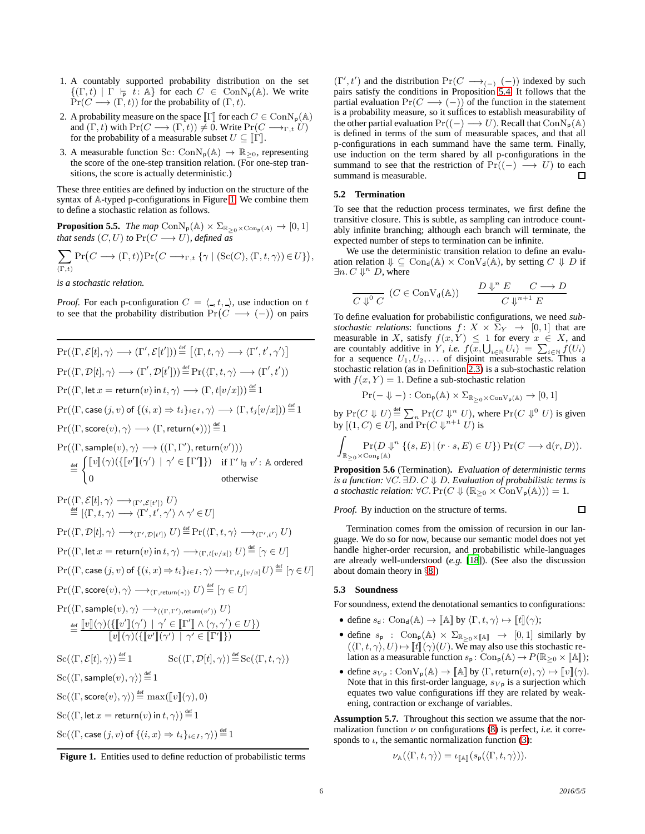- 1. A countably supported probability distribution on the set  ${(\Gamma, t) | \Gamma \vdash p \ t : \mathbb{A} \}$  for each  $C \in \text{ConN}_p(\mathbb{A})$ . We write  $Pr(C \longrightarrow (\Gamma, t))$  for the probability of  $(\Gamma, t)$ .
- 2. A probability measure on the space  $\llbracket \Gamma \rrbracket$  for each  $C \in \text{ConN}_p(\mathbb{A})$ and  $(\Gamma, t)$  with  $Pr(C \longrightarrow (\Gamma, t)) \neq 0$ . Write  $Pr(C \longrightarrow_{\Gamma, t} U)$ for the probability of a measurable subset  $U \subseteq \mathbb{F}$ .
- 3. A measurable function Sc:  $ConN_p(\mathbb{A}) \to \mathbb{R}_{\geq 0}$ , representing the score of the one-step transition relation. (For one-step transitions, the score is actually deterministic.)

These three entities are defined by induction on the structure of the syntax of A-typed p-configurations in Figure [1.](#page-5-1) We combine them to define a stochastic relation as follows.

**Proposition 5.5.** *The map*  $ConN_p(\mathbb{A}) \times \Sigma_{\mathbb{R}_{>0} \times Con_p(\mathbb{A})} \to [0, 1]$ *that sends*  $(C, U)$  *to*  $Pr(C \longrightarrow U)$ *, defined as* 

$$
\sum_{(\Gamma,t)} \Pr(C \longrightarrow (\Gamma,t)) \Pr(C \longrightarrow_{\Gamma,t} \{\gamma \mid (\operatorname{Sc}(C), \langle \Gamma, t, \gamma \rangle) \in U\}),
$$

*is a stochastic relation.*

*Proof.* For each p-configuration  $C = \langle , t, \cdot \rangle$ , use induction on t to see that the probability distribution  $Pr(C \longrightarrow (-))$  on pairs

$$
Pr(\langle \Gamma, \mathcal{E}[t], \gamma \rangle \longrightarrow (\Gamma', \mathcal{E}[t']) \stackrel{\text{def}}{=} [\langle \Gamma, t, \gamma \rangle \longrightarrow \langle \Gamma', t', \gamma' \rangle]
$$
\n
$$
Pr(\langle \Gamma, \mathcal{D}[t], \gamma \rangle \longrightarrow (\Gamma', \mathcal{D}[t']) \stackrel{\text{def}}{=} Pr(\langle \Gamma, t, \gamma \rangle \longrightarrow (\Gamma', t'))
$$
\n
$$
Pr(\langle \Gamma, \text{let } x = \text{return}(v) \text{ in } t, \gamma \rangle \longrightarrow (\Gamma, t[v/x])) \stackrel{\text{def}}{=} 1
$$
\n
$$
Pr(\langle \Gamma, \text{case } (j, v) \text{ of } \{(i, x) \Rightarrow t_i\}_{i \in I}, \gamma \rangle \longrightarrow (\Gamma, t_j[v/x])) \stackrel{\text{def}}{=} 1
$$
\n
$$
Pr(\langle \Gamma, \text{score}(v), \gamma \rangle \longrightarrow (\Gamma, \text{return}(*))) \stackrel{\text{def}}{=} 1
$$
\n
$$
Pr(\langle \Gamma, \text{sample}(v), \gamma \rangle \longrightarrow ((\Gamma, \Gamma'), \text{return}(v')))
$$
\n
$$
\stackrel{\text{def}}{=} \begin{cases} [v](\gamma)(\{[v'](\gamma') \mid \gamma' \in [\Gamma']\}) & \text{if } \Gamma' \vdash v' : \text{A ordered} \\ 0 & \text{otherwise} \end{cases}
$$
\n
$$
Pr(\langle \Gamma, \mathcal{E}[t], \gamma \rangle \longrightarrow_{(\Gamma', \mathcal{E}[t'])} U)
$$
\n
$$
\stackrel{\text{def}}{=} [\langle \Gamma, t, \gamma \rangle \longrightarrow \langle \Gamma', t', \gamma' \rangle \land \gamma' \in U]
$$
\n
$$
Pr(\langle \Gamma, \text{let } x = \text{return}(v) \text{ in } t, \gamma \rangle \longrightarrow_{(\Gamma, t[\nu/x])} U) \stackrel{\text{def}}{=} [\gamma \in U]
$$
\n
$$
Pr(\langle \Gamma, \text{case } (j, v) \text{ of } \{(i, x) \Rightarrow t_i\}_{i \in I}, \gamma \rangle \longrightarrow_{\Gamma, t_j[v/x]} U) \stackrel{\text{def}}{=} [\gamma \in U]
$$
\n
$$
Pr(\langle \Gamma, \text{case } (j, v) \text{ of } \{(i, x) \Rightarrow t_i\}_{i \in I}, \gamma \rangle \longrightarrow_{\Gamma, t_j[v/x]}
$$

<span id="page-5-1"></span>Figure 1. Entities used to define reduction of probabilistic terms

 $(\Gamma', t')$  and the distribution  $Pr(C \longrightarrow_{(-)} (-))$  indexed by such pairs satisfy the conditions in Proposition [5.4.](#page-4-1) It follows that the partial evaluation  $Pr(C \longrightarrow (-))$  of the function in the statement is a probability measure, so it suffices to establish measurability of the other partial evaluation  $Pr((-) \longrightarrow U)$ . Recall that  $ConN_p(\mathbb{A})$ is defined in terms of the sum of measurable spaces, and that all p-configurations in each summand have the same term. Finally, use induction on the term shared by all p-configurations in the summand to see that the restriction of  $Pr((-) \longrightarrow U)$  to each summand is measurable. □

### <span id="page-5-3"></span>**5.2 Termination**

To see that the reduction process terminates, we first define the transitive closure. This is subtle, as sampling can introduce countably infinite branching; although each branch will terminate, the expected number of steps to termination can be infinite.

We use the deterministic transition relation to define an evaluation relation  $\Downarrow \subseteq \text{Con}_{d}(\mathbb{A}) \times \text{Con}_{d}(\mathbb{A})$ , by setting  $C \Downarrow D$  if  $\exists n. C \Downarrow^n D$ , where

$$
\frac{D \Downarrow^n E \quad (C \in \text{ConV}_d(\mathbb{A})) \qquad \frac{D \Downarrow^n E \quad C \longrightarrow D}{C \Downarrow^{n+1} E}
$$

To define evaluation for probabilistic configurations, we need *substochastic relations*: functions  $f: X \times \Sigma_Y \rightarrow [0, 1]$  that are measurable in X, satisfy  $f(x, Y) \leq 1$  for every  $x \in X$ , and are countably additive in Y, *i.e.*  $f(x, \bigcup_{i \in \mathbb{N}} U_i) = \sum_{i \in \mathbb{N}} f(U_i)$ for a sequence  $U_1, U_2, \ldots$  of disjoint measurable sets. Thus a stochastic relation (as in Definition [2.3\)](#page-1-1) is a sub-stochastic relation with  $f(x, Y) = 1$ . Define a sub-stochastic relation

$$
\Pr(-\Downarrow -): \mathrm{Con}_{\mathsf{p}}(\mathbb{A}) \times \Sigma_{\mathbb{R}_{\geq 0} \times \mathrm{ConV}_{\mathsf{p}}(\mathbb{A})} \rightarrow [0,1]
$$

by  $Pr(C \Downarrow U) \stackrel{\text{def}}{=} \sum_n Pr(C \Downarrow_i^n U)$ , where  $Pr(C \Downarrow_0^0 U)$  is given by  $[(1, C) \in U]$ , and  $Pr(C \Downarrow^{n+1} U)$  is

$$
\int_{\mathbb{R}_{\geq 0} \times \text{Con}_{p}(\mathbb{A})} \text{Pr}(D \Downarrow^{n} \{ (s, E) \mid (r \cdot s, E) \in U \}) \text{Pr}(C \longrightarrow d(r, D)).
$$

<span id="page-5-2"></span>**Proposition 5.6** (Termination)**.** *Evaluation of deterministic terms is a function:* ∀C. ∃D. C ⇓ D*. Evaluation of probabilistic terms is a stochastic relation:*  $\forall C. \Pr(C \Downarrow (\mathbb{R}_{\geq 0} \times \text{ConV}_{p}(\mathbb{A}))) = 1.$ 

*Proof.* By induction on the structure of terms.

 $\Box$ 

Termination comes from the omission of recursion in our language. We do so for now, because our semantic model does not yet handle higher-order recursion, and probabilistic while-languages are already well-understood (*e.g.* [\[18\]](#page-9-12)). (See also the discussion about domain theory in §[8.](#page-7-0))

# <span id="page-5-0"></span>**5.3 Soundness**

For soundness, extend the denotational semantics to configurations:

- define  $s_d$ : Con<sub>d</sub>(A)  $\to$  [A] by  $\langle \Gamma, t, \gamma \rangle \mapsto [t](\gamma);$
- define  $s_p$  : Con<sub>p</sub>(A)  $\times$   $\Sigma_{\mathbb{R}_{\geq 0}\times[\![\mathbb{A}]\!]}\rightarrow [0,1]$  similarly by  $({\langle} \Gamma, t, \gamma \rangle, U) \mapsto [t]({\gamma})(U)$ . We may also use this stochastic relation as a measurable function  $s_p$ :  $Con_p(\mathbb{A}) \to P(\mathbb{R}_{\geq 0} \times \llbracket \mathbb{A} \rrbracket);$
- define  $s_{V_p} : \text{ConV}_p(\mathbb{A}) \to \llbracket \mathbb{A} \rrbracket$  by  $\langle \Gamma, \text{return}(v), \gamma \rangle \mapsto \llbracket v \rrbracket(\gamma)$ . Note that in this first-order language,  $s_{V_p}$  is a surjection which equates two value configurations iff they are related by weakening, contraction or exchange of variables.

**Assumption 5.7.** Throughout this section we assume that the normalization function  $\nu$  on configurations [\(8\)](#page-4-2) is perfect, *i.e.* it corresponds to  $\iota$ , the semantic normalization function [\(3\)](#page-3-2):

$$
\nu_{\mathbb{A}}(\langle \Gamma, t, \gamma \rangle) = \iota_{\llbracket \mathbb{A} \rrbracket}(s_{\mathsf{p}}(\langle \Gamma, t, \gamma \rangle)).
$$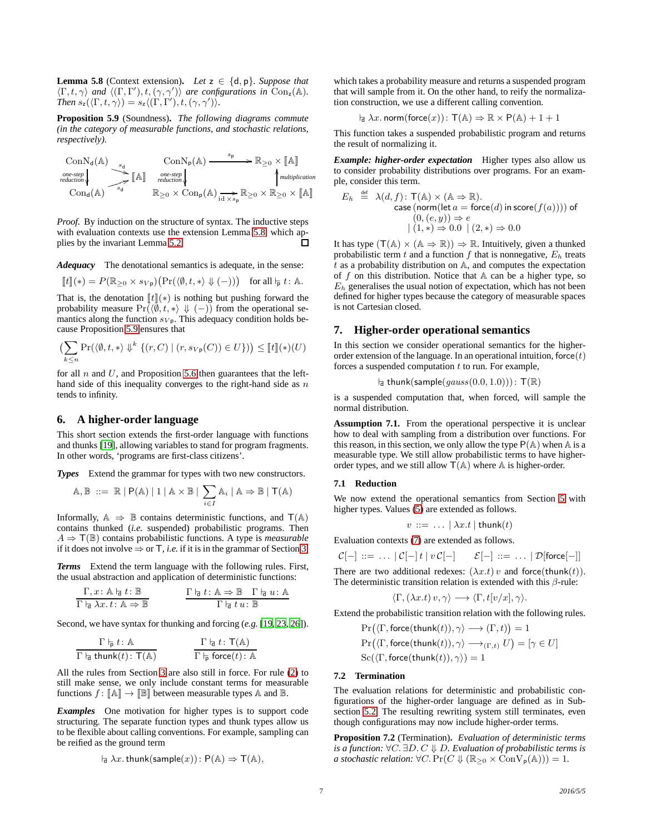<span id="page-6-2"></span>**Lemma 5.8** (Context extension). Let  $z \in \{d, p\}$ . Suppose that  $\langle \Gamma, t, \gamma \rangle$  and  $\langle (\Gamma, \Gamma'), t, (\gamma, \gamma') \rangle$  are configurations in Con<sub>z</sub>(A). *Then*  $s_z(\langle \Gamma, t, \gamma \rangle) = s_z \langle (\Gamma, \Gamma'), t, (\gamma, \gamma') \rangle$ *.* 

<span id="page-6-3"></span>**Proposition 5.9** (Soundness)**.** *The following diagrams commute (in the category of measurable functions, and stochastic relations, respectively).*

$$
\begin{array}{ccc}\n\text{ConN}_d(\mathbb{A}) & \xrightarrow{s_d} & \text{ConN}_p(\mathbb{A}) \xrightarrow{s_p} & \mathbb{R}_{\geq 0} \times [\![\mathbb{A}]\!] \\
\text{one-step} & & \text{one-step} \\
\text{reduction} & & \text{reduction} \\
\text{Con}_d(\mathbb{A}) & & \mathbb{R}_{\geq 0} \times \text{Con}_p(\mathbb{A}) \xrightarrow{id \times s_p} & \uparrow \text{multiplication} \\
\text{Con}_d(\mathbb{A}) & & \mathbb{R}_{\geq 0} \times \text{Con}_p(\mathbb{A}) \xrightarrow{id \times s_p} & \mathbb{R}_{\geq 0} \times [\![\mathbb{A}]\!]\n\end{array}
$$

*Proof.* By induction on the structure of syntax. The inductive steps with evaluation contexts use the extension Lemma [5.8,](#page-6-2) which applies by the invariant Lemma [5.2.](#page-4-3)  $\Box$ 

*Adequacy* The denotational semantics is adequate, in the sense:

$$
[\![t]\!](*) = P(\mathbb{R}_{\geq 0} \times s_{V\mathsf{p}}) \big(\Pr(\langle \emptyset, t, * \rangle \Downarrow (-))\big) \quad \text{for all } \mathsf{h}_{\mathsf{p}} \ t \colon \mathbb{A}.
$$

That is, the denotation  $\llbracket t \rrbracket(*)$  is nothing but pushing forward the probability measure  $Pr(\langle \emptyset, t, * \rangle \Downarrow (-))$  from the operational semantics along the function  $s_{V_p}$ . This adequacy condition holds because Proposition [5.9](#page-6-3) ensures that

$$
\left(\sum_{k\leq n} \Pr(\langle \emptyset, t, * \rangle \Downarrow^k \{ (r, C) \mid (r, s_{Vp}(C)) \in U \} )\right) \leq [t]({*})({U})
$$

for all  $n$  and  $U$ , and Proposition [5.6](#page-5-2) then guarantees that the lefthand side of this inequality converges to the right-hand side as  $n$ tends to infinity.

# <span id="page-6-0"></span>**6. A higher-order language**

This short section extends the first-order language with functions and thunks [\[19\]](#page-9-23), allowing variables to stand for program fragments. In other words, 'programs are first-class citizens'.

*Types* Extend the grammar for types with two new constructors.

$$
\mathbb{A}, \mathbb{B} \ ::= \ \mathbb{R} \mid \mathsf{P}(\mathbb{A}) \mid 1 \mid \mathbb{A} \times \mathbb{B} \mid \sum_{i \in I} \mathbb{A}_i \mid \mathbb{A} \Rightarrow \mathbb{B} \mid \mathsf{T}(\mathbb{A})
$$

Informally,  $\mathbb{A} \Rightarrow \mathbb{B}$  contains deterministic functions, and  $T(\mathbb{A})$ contains thunked (*i.e.* suspended) probabilistic programs. Then  $A \Rightarrow \mathsf{T}(\mathbb{B})$  contains probabilistic functions. A type is *measurable* if it does not involve  $\Rightarrow$  or T, *i.e.* if it is in the grammar of Section [3.](#page-1-0)

*Terms* Extend the term language with the following rules. First, the usual abstraction and application of deterministic functions:

$$
\frac{\Gamma, x: \mathbb{A} \mid_{\mathbf{d}} t: \mathbb{B}}{\Gamma \mid_{\mathbf{d}} \lambda x. t: \mathbb{A} \Rightarrow \mathbb{B}} \qquad \qquad \frac{\Gamma \mid_{\mathbf{d}} t: \mathbb{A} \Rightarrow \mathbb{B} \quad \Gamma \mid_{\mathbf{d}} u: \mathbb{A}}{\Gamma \mid_{\mathbf{d}} t u: \mathbb{B}}
$$

Second, we have syntax for thunking and forcing (*e.g.* [\[19,](#page-9-23) [23,](#page-9-11) [26\]](#page-9-9)).

$$
\frac{\Gamma \vdash_{\mathsf{p}} t : \mathbb{A}}{\Gamma \vdash_{\mathsf{d}} \mathsf{thunk}(t) : \mathsf{T}(\mathbb{A})} \qquad \qquad \frac{\Gamma \vdash_{\mathsf{d}} t : \mathsf{T}(\mathbb{A})}{\Gamma \vdash_{\mathsf{p}} \mathsf{force}(t) : \mathbb{A}}
$$

All the rules from Section [3](#page-1-0) are also still in force. For rule [\(2\)](#page-1-2) to still make sense, we only include constant terms for measurable functions  $f: \llbracket \mathbb{A} \rrbracket \to \llbracket \mathbb{B} \rrbracket$  between measurable types  $\mathbb{A}$  and  $\mathbb{B}$ .

*Examples* One motivation for higher types is to support code structuring. The separate function types and thunk types allow us to be flexible about calling conventions. For example, sampling can be reified as the ground term

$$
\vdash_{\mathsf{d}} \lambda x. \mathsf{thunk}(\mathsf{sample}(x)) \colon \mathsf{P}(\mathbb{A}) \Rightarrow \mathsf{T}(\mathbb{A}),
$$

which takes a probability measure and returns a suspended program that will sample from it. On the other hand, to reify the normalization construction, we use a different calling convention.

$$
\vdash_{\exists} \lambda x.\ \mathsf{norm}(\mathsf{force}(x))\colon \mathsf{T}(\mathbb{A}) \Rightarrow \mathbb{R} \times \mathsf{P}(\mathbb{A}) + 1 + 1
$$

This function takes a suspended probabilistic program and returns the result of normalizing it.

*Example: higher-order expectation* Higher types also allow us to consider probability distributions over programs. For an example, consider this term.

$$
E_h \stackrel{\text{def}}{=} \lambda(d, f) \colon \mathsf{T}(\mathbb{A}) \times (\mathbb{A} \Rightarrow \mathbb{R}).
$$
  
case (norm(let  $a = \text{force}(d) \text{ in score}(f(a))))$  of  $(0, (e, y)) \Rightarrow e$   

$$
|(1, *) \Rightarrow 0.0 | (2, *) \Rightarrow 0.0
$$

It has type  $(T(A) \times (A \Rightarrow \mathbb{R})) \Rightarrow \mathbb{R}$ . Intuitively, given a thunked probabilistic term  $t$  and a function  $f$  that is nonnegative,  $E_h$  treats  $t$  as a probability distribution on  $A$ , and computes the expectation of f on this distribution. Notice that  $A$  can be a higher type, so  $E<sub>h</sub>$  generalises the usual notion of expectation, which has not been defined for higher types because the category of measurable spaces is not Cartesian closed.

# <span id="page-6-1"></span>**7. Higher-order operational semantics**

In this section we consider operational semantics for the higherorder extension of the language. In an operational intuition, force  $(t)$ forces a suspended computation  $t$  to run. For example,

$$
\vdash_{\exists} \mathsf{thunk}(\mathsf{sample}(gauss(0.0, 1.0))) : \mathsf{T}(\mathbb{R})
$$

is a suspended computation that, when forced, will sample the normal distribution.

<span id="page-6-4"></span>**Assumption 7.1.** From the operational perspective it is unclear how to deal with sampling from a distribution over functions. For this reason, in this section, we only allow the type  $P(A)$  when A is a measurable type. We still allow probabilistic terms to have higherorder types, and we still allow  $T(A)$  where A is higher-order.

#### **7.1 Reduction**

We now extend the operational semantics from Section [5](#page-3-0) with higher types. Values  $(5)$  are extended as follows.

$$
v ::= \ldots | \lambda x.t | \mathsf{thunk}(t)
$$

Evaluation contexts [\(7\)](#page-4-5) are extended as follows.

$$
\mathcal{C}[-] ::= \ldots | \mathcal{C}[-] t | v \mathcal{C}[-] \quad \mathcal{E}[-] ::= \ldots | \mathcal{D}[\text{force}[-]]
$$

There are two additional redexes:  $(\lambda x.t) v$  and force(thunk(t)). The deterministic transition relation is extended with this  $\beta$ -rule:

$$
\langle \Gamma, (\lambda x.t) v, \gamma \rangle \longrightarrow \langle \Gamma, t[v/x], \gamma \rangle.
$$

Extend the probabilistic transition relation with the following rules.

$$
\Pr(\langle \Gamma, \text{force}(\text{thunk}(t)), \gamma \rangle \longrightarrow (\Gamma, t)) = 1
$$
\n
$$
\Pr(\langle \Gamma, \text{force}(\text{thunk}(t)), \gamma \rangle \longrightarrow_{(\Gamma, t)} U) = [\gamma \in U]
$$
\n
$$
\text{Sc}(\langle \Gamma, \text{force}(\text{thunk}(t)), \gamma \rangle) = 1
$$

### **7.2 Termination**

The evaluation relations for deterministic and probabilistic configurations of the higher-order language are defined as in Subsection [5.2.](#page-5-3) The resulting rewriting system still terminates, even though configurations may now include higher-order terms.

<span id="page-6-5"></span>**Proposition 7.2** (Termination)**.** *Evaluation of deterministic terms is a function:* ∀C. ∃D. C ⇓ D*. Evaluation of probabilistic terms is a stochastic relation:*  $\forall C. \Pr(C \Downarrow (\mathbb{R}_{\geq 0} \times \text{ConV}_{p}(\mathbb{A}))) = 1.$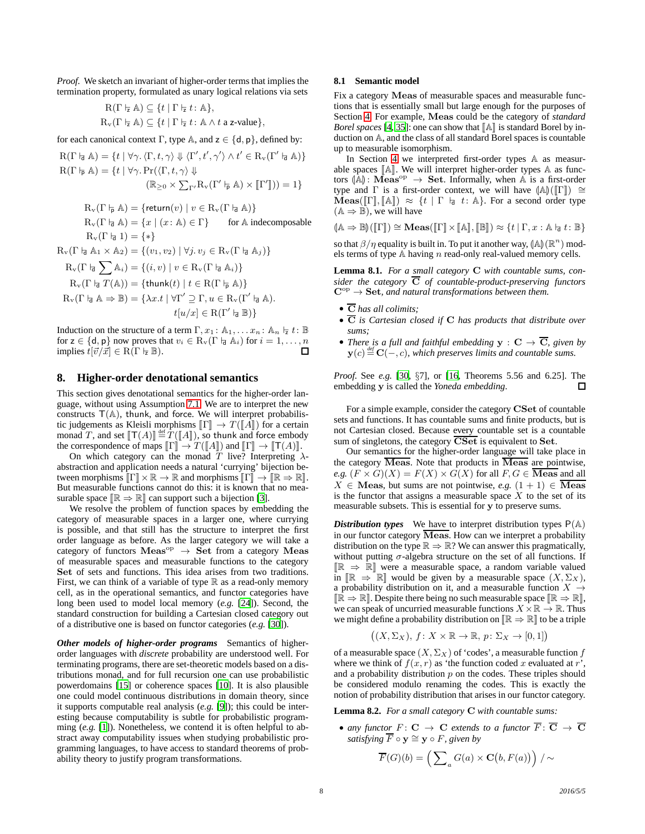*Proof.* We sketch an invariant of higher-order terms that implies the termination property, formulated as unary logical relations via sets

$$
\begin{aligned} \mathcal{R}(\Gamma \models \mathbb{A}) &\subseteq \{t \mid \Gamma \models t : \mathbb{A}\}, \\ \mathcal{R}_{\mathbf{v}}(\Gamma \models \mathbb{A}) &\subseteq \{t \mid \Gamma \models t : \mathbb{A} \land t \text{ a z-value}\}, \end{aligned}
$$

for each canonical context Γ, type A, and  $z \in \{d, p\}$ , defined by:

$$
R(\Gamma \nmid_{\mathbf{a}} \mathbb{A}) = \{ t \mid \forall \gamma. \langle \Gamma, t, \gamma \rangle \Downarrow \langle \Gamma', t', \gamma' \rangle \land t' \in R_{\nu}(\Gamma' \nmid_{\mathbf{a}} \mathbb{A}) \}
$$

$$
R(\Gamma \nmid_{\mathbf{p}} \mathbb{A}) = \{ t \mid \forall \gamma. \Pr(\langle \Gamma, t, \gamma \rangle \Downarrow
$$

$$
(\mathbb{R}_{\geq 0} \times \sum_{\Gamma'} R_{\nu}(\Gamma' \nmid_{\mathbf{p}} \mathbb{A}) \times [\![\Gamma']\!]) ) = 1 \}
$$

$$
R_v(\Gamma \nvdash_{\overline{p}} A) = \{ \text{return}(v) \mid v \in R_v(\Gamma \nvdash_{\overline{q}} A) \}
$$
  
\n
$$
R_v(\Gamma \nvdash_{\overline{q}} A) = \{ x \mid (x : A) \in \Gamma \} \qquad \text{for } A \text{ indecomposable}
$$
  
\n
$$
R_v(\Gamma \nvdash_{\overline{q}} 1) = \{ * \}
$$
  
\n
$$
R_v(\Gamma \nvdash_{\overline{q}} A_1 \times A_2) = \{ (v_1, v_2) \mid \forall j, v_j \in R_v(\Gamma \nvdash_{\overline{q}} A_j) \}
$$

$$
R_v(\Gamma \nvert_{\overline{d}} \sum \mathbb{A}_i) = \{(i, v) \mid v \in R_v(\Gamma \nvert_{\overline{d}} \mathbb{A}_i)\}
$$
  
\n
$$
R_v(\Gamma \nvert_{\overline{d}} T(\mathbb{A})) = \{\text{thunk}(t) \mid t \in R(\Gamma \nvert_{\overline{p}} \mathbb{A})\}
$$
  
\n
$$
R_v(\Gamma \nvert_{\overline{d}} \mathbb{A} \Rightarrow \mathbb{B}) = \{\lambda x.t \mid \forall \Gamma' \supseteq \Gamma, u \in R_v(\Gamma' \nvert_{\overline{d}} \mathbb{A}).
$$
  
\n
$$
t[u/x] \in R(\Gamma' \nvert_{\overline{d}} \mathbb{B})\}
$$

Induction on the structure of a term  $\Gamma, x_1 : \mathbb{A}_1, \ldots, x_n : \mathbb{A}_n \vDash t : \mathbb{B}$ for  $z \in \{d, p\}$  now proves that  $v_i \in R_v(\Gamma \mid \exists A_i)$  for  $i = 1, \dots, n$ implies  $t[\vec{v}/\vec{x}] \in \text{R}(\Gamma \vdash Z \mathbb{B}).$  $\Box$ 

#### <span id="page-7-0"></span>**8. Higher-order denotational semantics**

This section gives denotational semantics for the higher-order language, without using Assumption [7.1.](#page-6-4) We are to interpret the new constructs  $T(A)$ , thunk, and force. We will interpret probabilistic judgements as Kleisli morphisms  $\llbracket \Gamma \rrbracket \to T(\llbracket A \rrbracket)$  for a certain monad T, and set  $[[T(A)]] \stackrel{\text{def}}{=} \hat{T}([A]),$  so thunk and force embody the correspondence of maps  $\llbracket \Gamma \rrbracket \to T(\llbracket A \rrbracket)$  and  $\llbracket \Gamma \rrbracket \to \llbracket \mathsf{T}(A) \rrbracket$ .

On which category can the monad T live? Interpreting  $\lambda$ abstraction and application needs a natural 'currying' bijection between morphisms  $\llbracket \Gamma \rrbracket \times \mathbb{R} \to \mathbb{R}$  and morphisms  $\llbracket \Gamma \rrbracket \to \llbracket \mathbb{R} \to \mathbb{R} \rrbracket$ . But measurable functions cannot do this: it is known that no measurable space  $\mathbb{R} \Rightarrow \mathbb{R}$  can support such a bijection [\[3](#page-9-6)].

We resolve the problem of function spaces by embedding the category of measurable spaces in a larger one, where currying is possible, and that still has the structure to interpret the first order language as before. As the larger category we will take a category of functors  $Meas^{\text{op}} \rightarrow$  Set from a category Meas of measurable spaces and measurable functions to the category Set of sets and functions. This idea arises from two traditions. First, we can think of a variable of type  $\mathbb R$  as a read-only memory cell, as in the operational semantics, and functor categories have long been used to model local memory (*e.g.* [\[24\]](#page-9-24)). Second, the standard construction for building a Cartesian closed category out of a distributive one is based on functor categories (*e.g.* [\[30](#page-9-25)]).

*Other models of higher-order programs* Semantics of higherorder languages with *discrete* probability are understood well. For terminating programs, there are set-theoretic models based on a distributions monad, and for full recursion one can use probabilistic powerdomains [\[15\]](#page-9-26) or coherence spaces [\[10\]](#page-9-27). It is also plausible one could model continuous distributions in domain theory, since it supports computable real analysis (*e.g.* [\[9](#page-9-28)]); this could be interesting because computability is subtle for probabilistic programming (*e.g.* [\[1](#page-9-29)]). Nonetheless, we contend it is often helpful to abstract away computability issues when studying probabilistic programming languages, to have access to standard theorems of probability theory to justify program transformations.

#### **8.1 Semantic model**

Fix a category Meas of measurable spaces and measurable functions that is essentially small but large enough for the purposes of Section [4.](#page-2-0) For example, Meas could be the category of *standard Borel spaces* [\[4,](#page-9-30) [35\]](#page-9-31): one can show that  $\mathbb{A}$  is standard Borel by induction on A, and the class of all standard Borel spaces is countable up to measurable isomorphism.

In Section [4](#page-2-0) we interpreted first-order types A as measurable spaces  $\llbracket A \rrbracket$ . We will interpret higher-order types  $A$  as functors  $\langle A \rangle$ : Meas<sup>op</sup>  $\rightarrow$  Set. Informally, when A is a first-order type and  $\Gamma$  is a first-order context, we will have  $(\mathbb{A})(\llbracket \Gamma \rrbracket) \cong$  $\text{Meas}(\llbracket \Gamma \rrbracket, \llbracket \mathbb{A} \rrbracket) \approx \{t \mid \Gamma \vdash_d t : \mathbb{A}\}.$  For a second order type  $(A \Rightarrow B)$ , we will have

$$
(\mathbb{A} \Rightarrow \mathbb{B})(\llbracket \Gamma \rrbracket) \cong \mathbf{Meas}(\llbracket \Gamma \rrbracket \times \llbracket \mathbb{A} \rrbracket, \llbracket \mathbb{B} \rrbracket) \approx \{ t \mid \Gamma, x : \mathbb{A} \models t : \mathbb{B} \}
$$

so that  $\beta/\eta$  equality is built in. To put it another way,  $(\mathbb{A})(\mathbb{R}^n)$  mod-<br>als tarms of time  $\Lambda$  begins a read split real valued managritually els terms of type  $A$  having  $n$  read-only real-valued memory cells.

**Lemma 8.1.** *For a small category* C *with countable sums, consider the category*  $\overline{C}$  *of countable-product-preserving functors*  $\mathbf{C}^{\mathrm{op}} \to \mathbf{Set}$ , and natural transformations between them.

- C *has all colimits;*
- C *is Cartesian closed if* C *has products that distribute over sums;*
- *There is a full and faithful embedding*  $y : C \rightarrow \overline{C}$ *, given by*  $\mathbf{y}(c) \stackrel{\textit{def}}{=} \mathbf{C}(-,c)$ , which preserves limits and countable sums.

*Proof.* See *e.g.* [\[30](#page-9-25), §7], or [\[16](#page-9-32), Theorems 5.56 and 6.25]. The embedding y is called the *Yoneda embedding*.  $\Box$ 

For a simple example, consider the category CSet of countable sets and functions. It has countable sums and finite products, but is not Cartesian closed. Because every countable set is a countable sum of singletons, the category CSet is equivalent to Set.

Our semantics for the higher-order language will take place in the category  $\overline{\text{Meas}}$ . Note that products in  $\overline{\text{Meas}}$  are pointwise, *e.g.*  $(F \times G)(X) = F(X) \times G(X)$  for all  $F, G \in \overline{\text{Meas}}$  and all  $X \in \mathbf{Meas}$ , but sums are not pointwise, *e.g.*  $(1 + 1) \in \overline{\mathbf{Meas}}$ is the functor that assigns a measurable space  $X$  to the set of its measurable subsets. This is essential for y to preserve sums.

*Distribution types* We have to interpret distribution types  $P(A)$ in our functor category  $\overline{\text{Meas}}$ . How can we interpret a probability distribution on the type  $\mathbb{R} \Rightarrow \mathbb{R}$ ? We can answer this pragmatically, without putting  $\sigma$ -algebra structure on the set of all functions. If  $\mathbb{R} \Rightarrow \mathbb{R}$  were a measurable space, a random variable valued in  $\mathbb{R} \Rightarrow \mathbb{R}$  would be given by a measurable space  $(X, \Sigma_X)$ , a probability distribution on it, and a measurable function  $X \rightarrow$  $\mathbb{IR} \Rightarrow \mathbb{R}$ . Despite there being no such measurable space  $\mathbb{IR} \Rightarrow \mathbb{R}$ , we can speak of uncurried measurable functions  $X \times \mathbb{R} \to \mathbb{R}$ . Thus we might define a probability distribution on  $\mathbb{R} \Rightarrow \mathbb{R}$  to be a triple

$$
((X, \Sigma_X), f: X \times \mathbb{R} \to \mathbb{R}, p: \Sigma_X \to [0, 1])
$$

of a measurable space  $(X, \Sigma_X)$  of 'codes', a measurable function f where we think of  $f(x, r)$  as 'the function coded x evaluated at r', and a probability distribution  $p$  on the codes. These triples should be considered modulo renaming the codes. This is exactly the notion of probability distribution that arises in our functor category.

<span id="page-7-1"></span>**Lemma 8.2.** *For a small category* C *with countable sums:*

• any functor  $F: \mathbf{C} \to \mathbf{C}$  extends to a functor  $\overline{F}: \overline{\mathbf{C}} \to \overline{\mathbf{C}}$ *satisfying*  $\overline{F} \circ y \cong y \circ F$ *, given by* 

$$
\overline{F}(G)(b) = \left(\sum_{a} G(a) \times \mathbf{C}(b, F(a))\right) / \sim
$$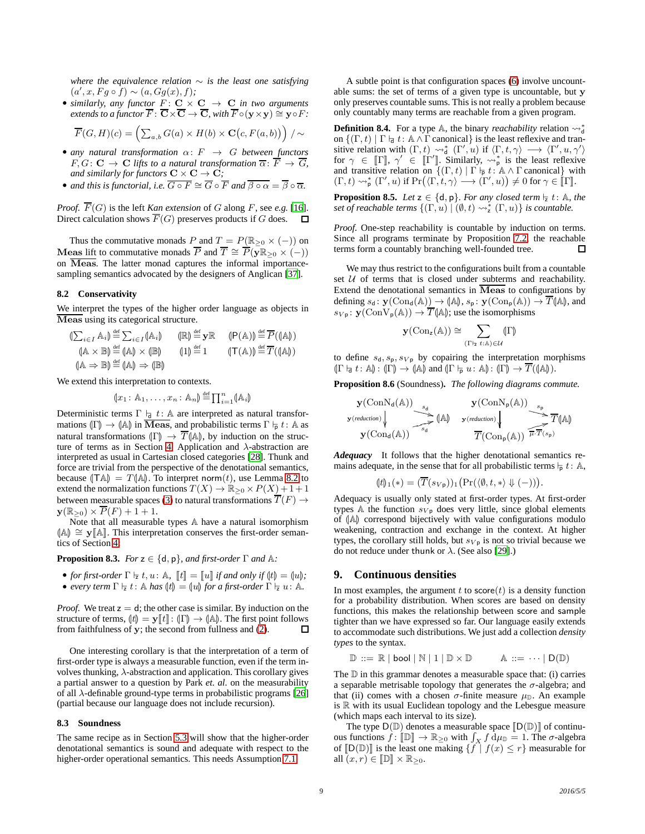*where the equivalence relation* ∼ *is the least one satisfying*  $(a', x, Fg \circ f) \sim (a, Gg(x), f);$ 

• *similarly, any functor*  $\underline{F}$ :  $\underline{C} \times \underline{C} \rightarrow \underline{C}$  *in two arguments extends to a functor*  $\overline{F}$ :  $\overline{\mathbf{C}} \times \overline{\mathbf{C}} \to \overline{\mathbf{C}}$ *, with*  $\overline{F} \circ (\mathbf{v} \times \mathbf{v}) \cong \mathbf{v} \circ F$ *:* 

$$
\overline{F}(G,H)(c) = \left(\sum_{a,b} G(a) \times H(b) \times \mathbf{C}(c, F(a,b))\right) / \sim
$$

- *any natural transformation*  $\alpha: F \rightarrow G$  *between functors*  $F, G: \mathbf{C} \to \mathbf{C}$  *lifts to a natural transformation*  $\overline{\alpha}: \overline{F} \to \overline{G}$ *, and similarly for functors*  $C \times C \rightarrow C$ *;*
- *and this is functorial, i.e.*  $\overline{G \circ F} \cong \overline{G} \circ \overline{F}$  *and*  $\overline{\beta \circ \alpha} = \overline{\beta} \circ \overline{\alpha}$ *.*

*Proof.*  $\overline{F}(G)$  is the left *Kan extension* of G along F, see *e.g.* [\[16\]](#page-9-32). Direct calculation shows  $\overline{F}(G)$  preserves products if G does.

Thus the commutative monads P and  $T = P(\mathbb{R}_{\geq 0} \times (-))$  on Meas lift to commutative monads  $\overline{P}$  and  $\overline{T} \cong \overline{P}(\overline{y} \mathbb{R}_{\geq 0} \times (-))$ on  $\overline{\text{Meas}}$ . The latter monad captures the informal importancesampling semantics advocated by the designers of Anglican [\[37](#page-9-3)].

#### **8.2 Conservativity**

We interpret the types of the higher order language as objects in Meas using its categorical structure.

$$
\begin{array}{ll}\n\left(\sum_{i \in I} A_i\right) \stackrel{\text{def}}{=} \sum_{i \in I} (\mathbb{A}_i) & \left(\mathbb{R}\right) \stackrel{\text{def}}{=} \mathbf{y} \mathbb{R} & \left(\mathsf{P}(\mathbb{A})\right) \stackrel{\text{def}}{=} \overline{P}((\mathbb{A})) \\
\left(\mathbb{A} \times \mathbb{B}\right) \stackrel{\text{def}}{=} \left(\mathbb{A}\right) \times \left(\mathbb{B}\right) & \left(1\right) \stackrel{\text{def}}{=} 1 & \left(\mathsf{T}(\mathbb{A})\right) \stackrel{\text{def}}{=} \overline{T}((\mathbb{A})) \\
\left(\mathbb{A} \Rightarrow \mathbb{B}\right) \stackrel{\text{def}}{=} \left(\mathbb{A}\right) \Rightarrow \left(\mathbb{B}\right)\n\end{array}
$$

We extend this interpretation to contexts.

$$
(\!(x_1\!:\mathbb{A}_1,\ldots,x_n\!:\mathbb{A}_n)\!)\stackrel{\text{def}}{=}\prod_{i=1}^n(\mathbb{A}_i)
$$

Deterministic terms  $\Gamma \vdash d : A$  are interpreted as natural transformations  $(\Gamma) \to (\mathbb{A})$  in Meas, and probabilistic terms  $\Gamma \vdash p t : \mathbb{A}$  as natural transformations  $\langle \Gamma \rangle \to \overline{T} \langle \mathbb{A} \rangle$ , by induction on the struc-ture of terms as in Section [4.](#page-2-0) Application and  $\lambda$ -abstraction are interpreted as usual in Cartesian closed categories [\[28\]](#page-9-13). Thunk and force are trivial from the perspective of the denotational semantics, because  $(TA) = T(A)$ . To interpret norm $(t)$ , use Lemma [8.2](#page-7-1) to extend the normalization functions  $T(X) \to \mathbb{R}_{\geq 0} \times P(X) + 1 + 1$ between measurable spaces [\(3\)](#page-3-2) to natural transformations  $\overline{T}(F) \rightarrow$  $\mathbf{y}(\mathbb{R}_{\geq 0}) \times \overline{P}(F) + 1 + 1.$ 

Note that all measurable types A have a natural isomorphism (A) ≅ y [A]. This interpretation conserves the first-order semantics of Section [4:](#page-2-0)

#### <span id="page-8-2"></span>**Proposition 8.3.** *For*  $z \in \{d, p\}$ *, and first-order*  $\Gamma$  *and*  $\mathbb{A}$ *:*

- *for first-order*  $\Gamma \vdash z t, u : \mathbb{A}, \quad \llbracket t \rrbracket = \llbracket u \rrbracket$  *if and only if*  $\langle t \rbracket = \langle u \rbracket$ *;*
- *every term*  $\Gamma \vdash z t: \mathbb{A}$  *has*  $\langle t \rangle = \langle u \rangle$  *for a first-order*  $\Gamma \vdash z u: \mathbb{A}$ *.*

*Proof.* We treat  $z = d$ ; the other case is similar. By induction on the structure of terms,  $[t] = \mathbf{y}[t] : (\Gamma) \to (\mathbb{A})$ . The first point follows from faithfulness of **v**: the second from fullness and (2). from faithfulness of y; the second from fullness and [\(2\)](#page-1-2).

One interesting corollary is that the interpretation of a term of first-order type is always a measurable function, even if the term involves thunking,  $\lambda$ -abstraction and application. This corollary gives a partial answer to a question by Park *et. al.* on the measurability of all  $\lambda$ -definable ground-type terms in probabilistic programs [\[26](#page-9-9)] (partial because our language does not include recursion).

#### <span id="page-8-1"></span>**8.3 Soundness**

The same recipe as in Section [5.3](#page-5-0) will show that the higher-order denotational semantics is sound and adequate with respect to the higher-order operational semantics. This needs Assumption [7.1.](#page-6-4)

A subtle point is that configuration spaces [\(6\)](#page-4-6) involve uncountable sums: the set of terms of a given type is uncountable, but y only preserves countable sums. This is not really a problem because only countably many terms are reachable from a given program.

**Definition 8.4.** For a type  $\mathbb{A}$ , the binary *reachability* relation  $\sim_{d}^{*}$ on  $\{(\Gamma, t) \mid \Gamma \vdash d : \mathbb{A} \wedge \Gamma \text{ canonical}\}\$ is the least reflexive and transitive relation with  $(\Gamma, t) \leadsto_d^* (\Gamma', u)$  if  $\langle \Gamma, t, \gamma \rangle \longrightarrow \langle \Gamma', u, \gamma' \rangle$ for  $\gamma \in [\![\Gamma]\!]$ ,  $\gamma' \in [\![\Gamma']\!]$ . Similarly,  $\leadsto_p^*$  is the least reflexive and transitive relation on  $\{(\Gamma, t) \mid \Gamma \vdash p t : A \wedge \Gamma \text{ canonical}\}\$  with  $(\Gamma, t) \rightsquigarrow^*_{\mathsf{p}} (\Gamma', u) \text{ if } \Pr(\langle \Gamma, t, \gamma \rangle \longrightarrow (\Gamma', u)) \neq 0 \text{ for } \gamma \in \llbracket \Gamma \rrbracket.$ 

**Proposition 8.5.** *Let*  $z \in \{d, p\}$ *. For any closed term*  $\vdash z$  *t*:  $\mathbb{A}$ *, the set of reachable terms*  $\{(\Gamma, u) \mid (\emptyset, t) \leadsto_{\mathsf{z}}^* (\Gamma, u)\}$  *is countable.* 

*Proof.* One-step reachability is countable by induction on terms. Since all programs terminate by Proposition [7.2,](#page-6-5) the reachable terms form a countably branching well-founded tree.  $\Box$ 

We may thus restrict to the configurations built from a countable set  $U$  of terms that is closed under subterms and reachability. Extend the denotational semantics in  $\overline{\text{Meas}}$  to configurations by defining  $s_d$ :  $\mathbf{y}(\text{Con}_d(\mathbb{A})) \to (\mathbb{A}), s_p$ :  $\mathbf{y}(\text{Con}_p(\mathbb{A})) \to \overline{T}(\mathbb{A}),$  and  $s_{Vp}$ :  $\mathbf{y}(\text{ConV}_{p}(\mathbb{A})) \to \overline{T}(\mathbb{A})$ ; use the isomorphisms

y(Conz(A)) ∼= X (Γ⊢<sup>z</sup> <sup>t</sup>:A)∈U LΓM

to define  $s_d$ ,  $s_p$ ,  $s_V$ <sub>p</sub> by copairing the interpretation morphisms  $(\Gamma \vdash_{\mathsf{d}} t : \mathbb{A}) : (\Gamma) \to (\mathbb{A})$  and  $(\Gamma \vdash_{\mathsf{p}} u : \mathbb{A}) : (\Gamma) \to T((\mathbb{A})).$ 

**Proposition 8.6** (Soundness)**.** *The following diagrams commute.*

$$
\mathbf{y}(\mathrm{ConN}_d(\mathbb{A})) \xrightarrow[s_d]{s_d} \mathbf{y}(\mathrm{ConN}_p(\mathbb{A})) \xrightarrow[s_d]{s_p} \overline{T}(\mathbb{A})
$$
\n
$$
\mathbf{y}(\mathrm{Cond}(\mathbb{A})) \xrightarrow[s_d]{s_d} (\mathbb{A}) \qquad \mathbf{y}(\mathrm{reduction}) \xleftarrow[\overline{T}(\mathrm{Con}_{p}(\mathbb{A})) \overset{s_p}{\overline{T}T(s_p)}
$$

*Adequacy* It follows that the higher denotational semantics remains adequate, in the sense that for all probabilistic terms  $\vdash p t : A$ ,

$$
(\mathbf{t})_1(*) = (\overline{T}(s_{V\mathsf{p}}))_1 \big(\Pr(\langle \emptyset, t, *\rangle \Downarrow (-))\big).
$$

Adequacy is usually only stated at first-order types. At first-order types A the function  $s_{V_p}$  does very little, since global elements of  $(A)$  correspond bijectively with value configurations modulo weakening, contraction and exchange in the context. At higher types, the corollary still holds, but  $s_{V_p}$  is not so trivial because we do not reduce under thunk or  $\lambda$ . (See also [\[29](#page-9-33)].)

#### <span id="page-8-0"></span>**9. Continuous densities**

In most examples, the argument  $t$  to score $(t)$  is a density function for a probability distribution. When scores are based on density functions, this makes the relationship between score and sample tighter than we have expressed so far. Our language easily extends to accommodate such distributions. We just add a collection *density types* to the syntax.

$$
\mathbb{D} ::= \mathbb{R} | \text{bool} | \mathbb{N} | 1 | \mathbb{D} \times \mathbb{D} \qquad \mathbb{A} ::= \cdots | \mathbb{D}(\mathbb{D})
$$

The  $D$  in this grammar denotes a measurable space that: (i) carries a separable metrisable topology that generates the  $\sigma$ -algebra; and that (ii) comes with a chosen  $\sigma$ -finite measure  $\mu_{\mathbb{D}}$ . An example is R with its usual Euclidean topology and the Lebesgue measure (which maps each interval to its size).

The type  $D(D)$  denotes a measurable space  $[D(D)]$  of continuous functions  $\hat{f}$ :  $[\mathbb{D}] \to \mathbb{R}_{\geq 0}$  with  $\int_X f \, d\mu_{\mathbb{D}} = 1$ . The  $\sigma$ -algebra of  $[D(D)]$  is the least one making  $\{f | f(x) \leq r\}$  measurable for all  $(x, r) \in [\mathbb{D}] \times \mathbb{R}_{\geq 0}$ .